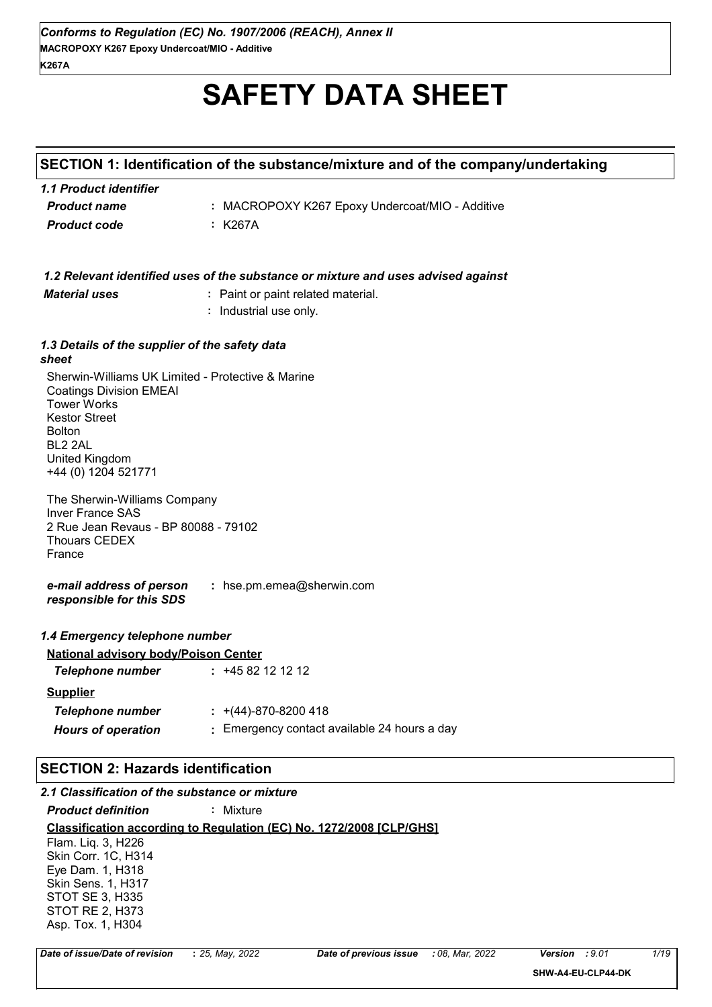# **SAFETY DATA SHEET**

# **SECTION 1: Identification of the substance/mixture and of the company/undertaking**

| 1.1 Product identifier |                                                 |
|------------------------|-------------------------------------------------|
| <b>Product name</b>    | : MACROPOXY K267 Epoxy Undercoat/MIO - Additive |
| Product code           | : K267A                                         |

|                                                                                                                                                                                                        | 1.2 Relevant identified uses of the substance or mixture and uses advised against |
|--------------------------------------------------------------------------------------------------------------------------------------------------------------------------------------------------------|-----------------------------------------------------------------------------------|
| <b>Material uses</b>                                                                                                                                                                                   | : Paint or paint related material.                                                |
|                                                                                                                                                                                                        | : Industrial use only.                                                            |
| 1.3 Details of the supplier of the safety data<br>sheet                                                                                                                                                |                                                                                   |
| Sherwin-Williams UK Limited - Protective & Marine<br><b>Coatings Division EMEAI</b><br><b>Tower Works</b><br><b>Kestor Street</b><br><b>Bolton</b><br>BL2 2AL<br>United Kingdom<br>+44 (0) 1204 521771 |                                                                                   |
| The Sherwin-Williams Company<br><b>Inver France SAS</b><br>2 Rue Jean Revaus - BP 80088 - 79102<br><b>Thouars CEDEX</b><br>France                                                                      |                                                                                   |
| e-mail address of person<br>responsible for this SDS                                                                                                                                                   | : hse.pm.emea@sherwin.com                                                         |
| 1.4 Emergency telephone number                                                                                                                                                                         |                                                                                   |
| <b>National advisory body/Poison Center</b>                                                                                                                                                            |                                                                                   |
| <b>Telephone number</b>                                                                                                                                                                                | $: +4582121212$                                                                   |
| <b>Supplier</b>                                                                                                                                                                                        |                                                                                   |
| <b>Telephone number</b>                                                                                                                                                                                | $\div$ +(44)-870-8200 418                                                         |
| <b>Hours of operation</b>                                                                                                                                                                              | : Emergency contact available 24 hours a day                                      |
| <b>SECTION 2: Hazards identification</b>                                                                                                                                                               |                                                                                   |
| 2.1 Classification of the substance or mixture                                                                                                                                                         |                                                                                   |
| <b>Product definition</b>                                                                                                                                                                              | : Mixture                                                                         |
|                                                                                                                                                                                                        |                                                                                   |

**Classification according to Regulation (EC) No. 1272/2008 [CLP/GHS]** Flam. Liq. 3, H226 Skin Corr. 1C, H314 Eye Dam. 1, H318 Skin Sens. 1, H317 STOT SE 3, H335 STOT RE 2, H373

Asp. Tox. 1, H304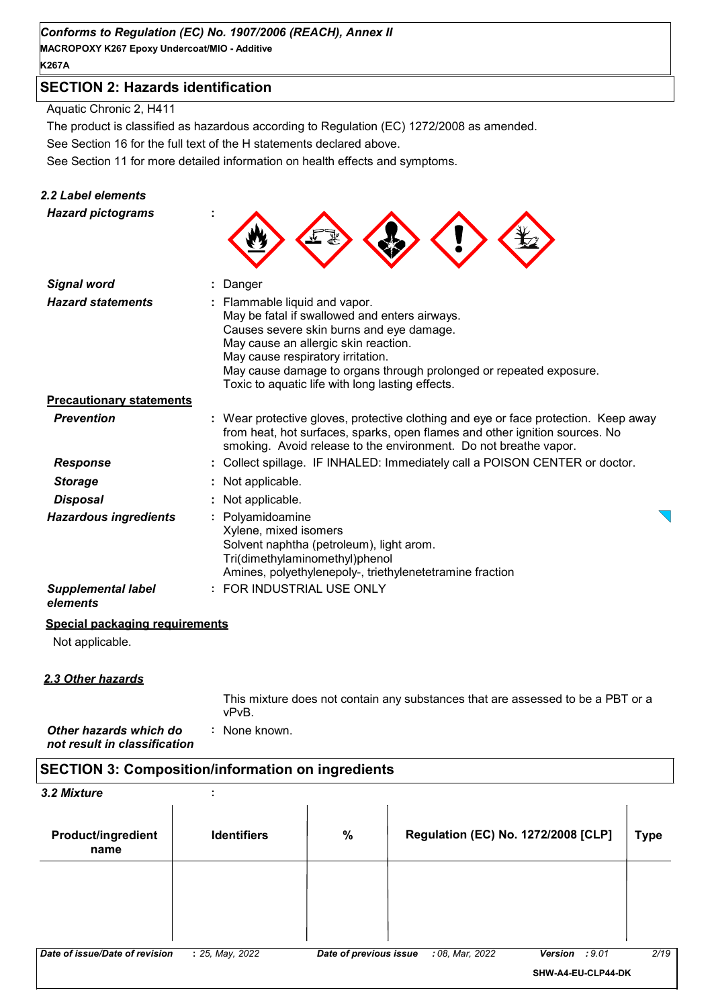#### *Conforms to Regulation (EC) No. 1907/2006 (REACH), Annex II*

**MACROPOXY K267 Epoxy Undercoat/MIO - Additive K267A**

# **SECTION 2: Hazards identification**

Aquatic Chronic 2, H411

The product is classified as hazardous according to Regulation (EC) 1272/2008 as amended.

See Section 16 for the full text of the H statements declared above.

See Section 11 for more detailed information on health effects and symptoms.

#### *2.2 Label elements*

| <b>Hazard pictograms</b>              |                                                                                                                                                                                                                                                                                                                                 |
|---------------------------------------|---------------------------------------------------------------------------------------------------------------------------------------------------------------------------------------------------------------------------------------------------------------------------------------------------------------------------------|
| <b>Signal word</b>                    | Danger                                                                                                                                                                                                                                                                                                                          |
| <b>Hazard statements</b>              | Flammable liquid and vapor.<br>May be fatal if swallowed and enters airways.<br>Causes severe skin burns and eye damage.<br>May cause an allergic skin reaction.<br>May cause respiratory irritation.<br>May cause damage to organs through prolonged or repeated exposure.<br>Toxic to aquatic life with long lasting effects. |
| <b>Precautionary statements</b>       |                                                                                                                                                                                                                                                                                                                                 |
| <b>Prevention</b>                     | : Wear protective gloves, protective clothing and eye or face protection. Keep away<br>from heat, hot surfaces, sparks, open flames and other ignition sources. No<br>smoking. Avoid release to the environment. Do not breathe vapor.                                                                                          |
| <b>Response</b>                       | Collect spillage. IF INHALED: Immediately call a POISON CENTER or doctor.                                                                                                                                                                                                                                                       |
| <b>Storage</b>                        | Not applicable.                                                                                                                                                                                                                                                                                                                 |
| <b>Disposal</b>                       | Not applicable.                                                                                                                                                                                                                                                                                                                 |
| <b>Hazardous ingredients</b>          | Polyamidoamine<br>Xylene, mixed isomers<br>Solvent naphtha (petroleum), light arom.<br>Tri(dimethylaminomethyl)phenol<br>Amines, polyethylenepoly-, triethylenetetramine fraction                                                                                                                                               |
| <b>Supplemental label</b><br>elements | FOR INDUSTRIAL USE ONLY                                                                                                                                                                                                                                                                                                         |

#### **Special packaging requirements**

Not applicable.

#### *2.3 Other hazards*

This mixture does not contain any substances that are assessed to be a PBT or a vPvB.

*Other hazards which do* **:** *not result in classification* : None known.

# **SECTION 3: Composition/information on ingredients**

| 3.2 Mixture                       | $\cdot$            |                        |                 |                                            |             |
|-----------------------------------|--------------------|------------------------|-----------------|--------------------------------------------|-------------|
| <b>Product/ingredient</b><br>name | <b>Identifiers</b> | $\%$                   |                 | <b>Regulation (EC) No. 1272/2008 [CLP]</b> | <b>Type</b> |
|                                   |                    |                        |                 |                                            |             |
|                                   |                    |                        |                 |                                            |             |
|                                   |                    |                        |                 |                                            |             |
| Date of issue/Date of revision    | : 25, May, 2022    | Date of previous issue | : 08, Mar, 2022 | : 9.01<br>Version                          | 2/19        |
|                                   |                    |                        |                 | SHW-A4-EU-CLP44-DK                         |             |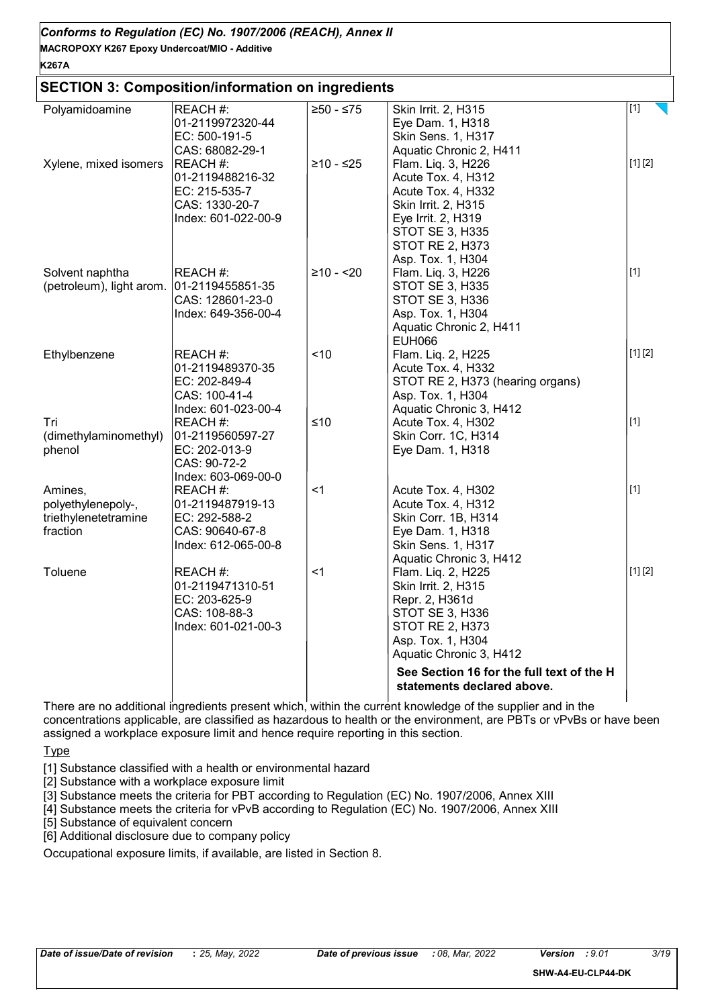| Conforms to Regulation (EC) No. 1907/2006 (REACH), Annex II |  |
|-------------------------------------------------------------|--|
| MACROPOXY K267 Epoxy Undercoat/MIO - Additive               |  |

#### **SECTION 3: Composition/information on ingredients**

| Polyamidoamine                            | REACH #:                               | $≥50 - ≤75$ | Skin Irrit. 2, H315                           | $[1]$   |
|-------------------------------------------|----------------------------------------|-------------|-----------------------------------------------|---------|
|                                           | 01-2119972320-44<br>EC: 500-191-5      |             | Eye Dam. 1, H318<br>Skin Sens. 1, H317        |         |
|                                           |                                        |             | Aquatic Chronic 2, H411                       |         |
| Xylene, mixed isomers                     | CAS: 68082-29-1<br>REACH #:            | $≥10 - ≤25$ | Flam. Liq. 3, H226                            | [1] [2] |
|                                           | 01-2119488216-32                       |             | Acute Tox. 4, H312                            |         |
|                                           | EC: 215-535-7                          |             | Acute Tox. 4, H332                            |         |
|                                           | CAS: 1330-20-7                         |             | Skin Irrit. 2, H315                           |         |
|                                           | Index: 601-022-00-9                    |             | Eye Irrit. 2, H319                            |         |
|                                           |                                        |             | STOT SE 3, H335                               |         |
|                                           |                                        |             | <b>STOT RE 2, H373</b>                        |         |
|                                           |                                        |             | Asp. Tox. 1, H304                             |         |
| Solvent naphtha                           | REACH #:                               | $≥10 - 20$  | Flam. Liq. 3, H226                            | $[1]$   |
| (petroleum), light arom. 01-2119455851-35 |                                        |             | STOT SE 3, H335                               |         |
|                                           | CAS: 128601-23-0                       |             | <b>STOT SE 3, H336</b>                        |         |
|                                           | Index: 649-356-00-4                    |             | Asp. Tox. 1, H304                             |         |
|                                           |                                        |             | Aquatic Chronic 2, H411                       |         |
|                                           |                                        |             | <b>EUH066</b>                                 |         |
| Ethylbenzene                              | REACH #:                               | < 10        | Flam. Liq. 2, H225                            | [1] [2] |
|                                           | 01-2119489370-35                       |             | Acute Tox. 4, H332                            |         |
|                                           | EC: 202-849-4                          |             | STOT RE 2, H373 (hearing organs)              |         |
|                                           | CAS: 100-41-4                          |             | Asp. Tox. 1, H304                             |         |
|                                           | Index: 601-023-00-4                    |             | Aquatic Chronic 3, H412                       |         |
| Tri                                       | REACH #:                               | ≤10         | Acute Tox. 4, H302                            | $[1]$   |
| (dimethylaminomethyl)                     | 01-2119560597-27                       |             | Skin Corr. 1C, H314                           |         |
| phenol                                    | EC: 202-013-9                          |             | Eye Dam. 1, H318                              |         |
|                                           | CAS: 90-72-2                           |             |                                               |         |
|                                           | Index: 603-069-00-0                    |             |                                               |         |
| Amines,                                   | REACH #:                               | <1          | Acute Tox. 4, H302                            | $[1]$   |
| polyethylenepoly-,                        | 01-2119487919-13                       |             | Acute Tox. 4, H312                            |         |
| triethylenetetramine                      | EC: 292-588-2                          |             | Skin Corr. 1B, H314                           |         |
| fraction                                  | CAS: 90640-67-8<br>Index: 612-065-00-8 |             | Eye Dam. 1, H318                              |         |
|                                           |                                        |             | Skin Sens. 1, H317                            |         |
| Toluene                                   | REACH #:                               | $<$ 1       | Aquatic Chronic 3, H412<br>Flam. Liq. 2, H225 | [1] [2] |
|                                           | 01-2119471310-51                       |             | Skin Irrit. 2, H315                           |         |
|                                           | EC: 203-625-9                          |             | Repr. 2, H361d                                |         |
|                                           | CAS: 108-88-3                          |             | <b>STOT SE 3, H336</b>                        |         |
|                                           | Index: 601-021-00-3                    |             | <b>STOT RE 2, H373</b>                        |         |
|                                           |                                        |             | Asp. Tox. 1, H304                             |         |
|                                           |                                        |             | Aquatic Chronic 3, H412                       |         |
|                                           |                                        |             | See Section 16 for the full text of the H     |         |
|                                           |                                        |             | statements declared above.                    |         |
|                                           |                                        |             |                                               |         |

There are no additional ingredients present which, within the current knowledge of the supplier and in the concentrations applicable, are classified as hazardous to health or the environment, are PBTs or vPvBs or have been assigned a workplace exposure limit and hence require reporting in this section.

**Type** 

[1] Substance classified with a health or environmental hazard

[2] Substance with a workplace exposure limit

[3] Substance meets the criteria for PBT according to Regulation (EC) No. 1907/2006, Annex XIII

[4] Substance meets the criteria for vPvB according to Regulation (EC) No. 1907/2006, Annex XIII

[5] Substance of equivalent concern

[6] Additional disclosure due to company policy

Occupational exposure limits, if available, are listed in Section 8.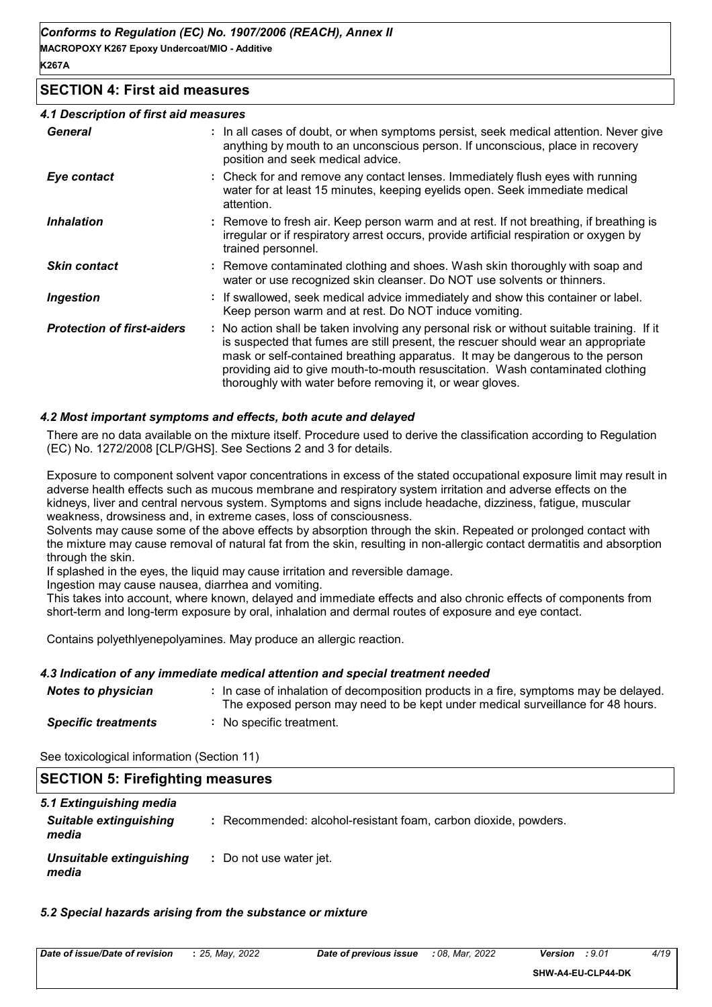#### **SECTION 4: First aid measures**

#### *4.1 Description of first aid measures*

| <b>General</b>                    | : In all cases of doubt, or when symptoms persist, seek medical attention. Never give<br>anything by mouth to an unconscious person. If unconscious, place in recovery<br>position and seek medical advice.                                                                                                                                                                                                     |
|-----------------------------------|-----------------------------------------------------------------------------------------------------------------------------------------------------------------------------------------------------------------------------------------------------------------------------------------------------------------------------------------------------------------------------------------------------------------|
| Eye contact                       | : Check for and remove any contact lenses. Immediately flush eyes with running<br>water for at least 15 minutes, keeping eyelids open. Seek immediate medical<br>attention.                                                                                                                                                                                                                                     |
| <b>Inhalation</b>                 | : Remove to fresh air. Keep person warm and at rest. If not breathing, if breathing is<br>irregular or if respiratory arrest occurs, provide artificial respiration or oxygen by<br>trained personnel.                                                                                                                                                                                                          |
| <b>Skin contact</b>               | : Remove contaminated clothing and shoes. Wash skin thoroughly with soap and<br>water or use recognized skin cleanser. Do NOT use solvents or thinners.                                                                                                                                                                                                                                                         |
| <b>Ingestion</b>                  | : If swallowed, seek medical advice immediately and show this container or label.<br>Keep person warm and at rest. Do NOT induce vomiting.                                                                                                                                                                                                                                                                      |
| <b>Protection of first-aiders</b> | : No action shall be taken involving any personal risk or without suitable training. If it<br>is suspected that fumes are still present, the rescuer should wear an appropriate<br>mask or self-contained breathing apparatus. It may be dangerous to the person<br>providing aid to give mouth-to-mouth resuscitation. Wash contaminated clothing<br>thoroughly with water before removing it, or wear gloves. |

#### *4.2 Most important symptoms and effects, both acute and delayed*

There are no data available on the mixture itself. Procedure used to derive the classification according to Regulation (EC) No. 1272/2008 [CLP/GHS]. See Sections 2 and 3 for details.

Exposure to component solvent vapor concentrations in excess of the stated occupational exposure limit may result in adverse health effects such as mucous membrane and respiratory system irritation and adverse effects on the kidneys, liver and central nervous system. Symptoms and signs include headache, dizziness, fatigue, muscular weakness, drowsiness and, in extreme cases, loss of consciousness.

Solvents may cause some of the above effects by absorption through the skin. Repeated or prolonged contact with the mixture may cause removal of natural fat from the skin, resulting in non-allergic contact dermatitis and absorption through the skin.

If splashed in the eyes, the liquid may cause irritation and reversible damage.

Ingestion may cause nausea, diarrhea and vomiting.

This takes into account, where known, delayed and immediate effects and also chronic effects of components from short-term and long-term exposure by oral, inhalation and dermal routes of exposure and eye contact.

Contains polyethlyenepolyamines. May produce an allergic reaction.

#### *4.3 Indication of any immediate medical attention and special treatment needed*

| Notes to physician         | : In case of inhalation of decomposition products in a fire, symptoms may be delayed.<br>The exposed person may need to be kept under medical surveillance for 48 hours. |
|----------------------------|--------------------------------------------------------------------------------------------------------------------------------------------------------------------------|
| <b>Specific treatments</b> | : No specific treatment.                                                                                                                                                 |

| See toxicological information (Section 11) |  |
|--------------------------------------------|--|
|--------------------------------------------|--|

| <b>SECTION 5: Firefighting measures</b>                           |                                                                 |
|-------------------------------------------------------------------|-----------------------------------------------------------------|
| 5.1 Extinguishing media<br><b>Suitable extinguishing</b><br>media | : Recommended: alcohol-resistant foam, carbon dioxide, powders. |
| Unsuitable extinguishing<br>media                                 | : Do not use water jet.                                         |

#### *5.2 Special hazards arising from the substance or mixture*

| Date of issue/Date of revision<br>2022<br>2022<br>: 08.<br>25. Mav.<br>Mar.<br>n-<br>Date of previous<br>issue<br>Version<br>:9.0 | $\frac{\Delta}{10}$ |
|-----------------------------------------------------------------------------------------------------------------------------------|---------------------|
|-----------------------------------------------------------------------------------------------------------------------------------|---------------------|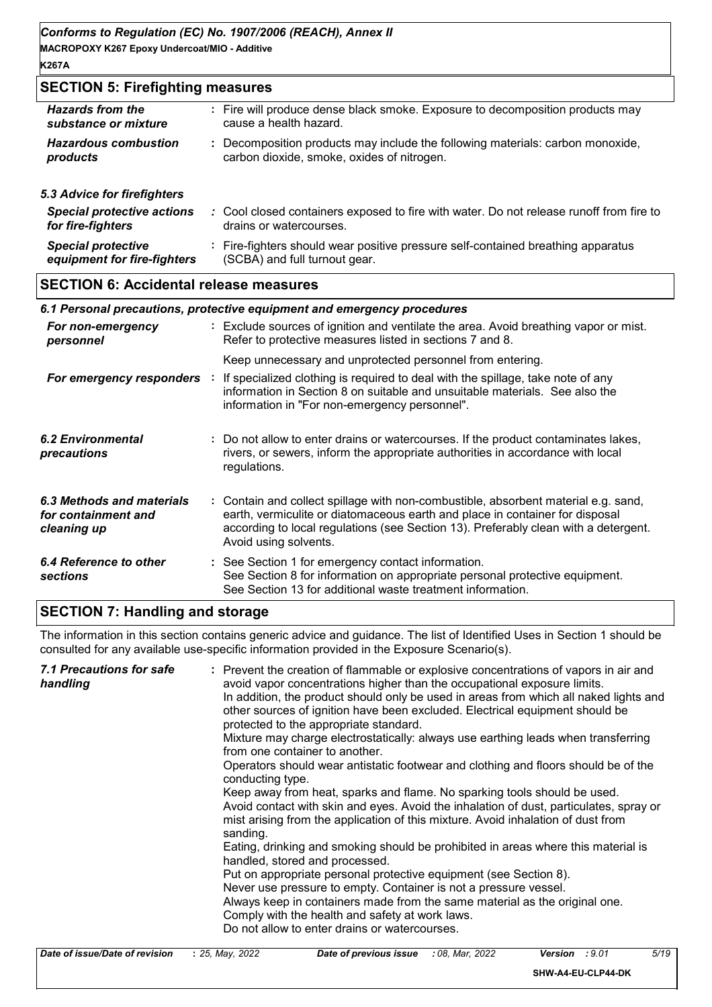### **SECTION 5: Firefighting measures**

| <b>Hazards from the</b>           | : Fire will produce dense black smoke. Exposure to decomposition products may           |
|-----------------------------------|-----------------------------------------------------------------------------------------|
| substance or mixture              | cause a health hazard.                                                                  |
| <b>Hazardous combustion</b>       | : Decomposition products may include the following materials: carbon monoxide,          |
| products                          | carbon dioxide, smoke, oxides of nitrogen.                                              |
| 5.3 Advice for firefighters       |                                                                                         |
| <b>Special protective actions</b> | : Cool closed containers exposed to fire with water. Do not release runoff from fire to |
| for fire-fighters                 | drains or watercourses.                                                                 |

| <b>Special protective</b>   | : Fire-fighters should wear positive pressure self-contained breathing apparatus |
|-----------------------------|----------------------------------------------------------------------------------|
| equipment for fire-fighters | (SCBA) and full turnout gear.                                                    |

# **SECTION 6: Accidental release measures**

|                                                                 | 6.1 Personal precautions, protective equipment and emergency procedures                                                                                                                                                                                                            |
|-----------------------------------------------------------------|------------------------------------------------------------------------------------------------------------------------------------------------------------------------------------------------------------------------------------------------------------------------------------|
| For non-emergency<br>personnel                                  | : Exclude sources of ignition and ventilate the area. Avoid breathing vapor or mist.<br>Refer to protective measures listed in sections 7 and 8.                                                                                                                                   |
|                                                                 | Keep unnecessary and unprotected personnel from entering.                                                                                                                                                                                                                          |
| For emergency responders :                                      | If specialized clothing is required to deal with the spillage, take note of any<br>information in Section 8 on suitable and unsuitable materials. See also the<br>information in "For non-emergency personnel".                                                                    |
| 6.2 Environmental<br>precautions                                | : Do not allow to enter drains or watercourses. If the product contaminates lakes,<br>rivers, or sewers, inform the appropriate authorities in accordance with local<br>regulations.                                                                                               |
| 6.3 Methods and materials<br>for containment and<br>cleaning up | : Contain and collect spillage with non-combustible, absorbent material e.g. sand,<br>earth, vermiculite or diatomaceous earth and place in container for disposal<br>according to local regulations (see Section 13). Preferably clean with a detergent.<br>Avoid using solvents. |
| 6.4 Reference to other<br><b>sections</b>                       | : See Section 1 for emergency contact information.<br>See Section 8 for information on appropriate personal protective equipment.<br>See Section 13 for additional waste treatment information.                                                                                    |

# **SECTION 7: Handling and storage**

The information in this section contains generic advice and guidance. The list of Identified Uses in Section 1 should be consulted for any available use-specific information provided in the Exposure Scenario(s).

| Avoid contact with skin and eyes. Avoid the inhalation of dust, particulates, spray or<br>mist arising from the application of this mixture. Avoid inhalation of dust from<br>sanding.<br>Eating, drinking and smoking should be prohibited in areas where this material is<br>handled, stored and processed.<br>Put on appropriate personal protective equipment (see Section 8).<br>Never use pressure to empty. Container is not a pressure vessel.<br>Always keep in containers made from the same material as the original one.<br>Comply with the health and safety at work laws.<br>Do not allow to enter drains or watercourses. | 7.1 Precautions for safe<br>handling | : Prevent the creation of flammable or explosive concentrations of vapors in air and<br>avoid vapor concentrations higher than the occupational exposure limits.<br>In addition, the product should only be used in areas from which all naked lights and<br>other sources of ignition have been excluded. Electrical equipment should be<br>protected to the appropriate standard.<br>Mixture may charge electrostatically: always use earthing leads when transferring<br>from one container to another.<br>Operators should wear antistatic footwear and clothing and floors should be of the<br>conducting type.<br>Keep away from heat, sparks and flame. No sparking tools should be used. |
|------------------------------------------------------------------------------------------------------------------------------------------------------------------------------------------------------------------------------------------------------------------------------------------------------------------------------------------------------------------------------------------------------------------------------------------------------------------------------------------------------------------------------------------------------------------------------------------------------------------------------------------|--------------------------------------|--------------------------------------------------------------------------------------------------------------------------------------------------------------------------------------------------------------------------------------------------------------------------------------------------------------------------------------------------------------------------------------------------------------------------------------------------------------------------------------------------------------------------------------------------------------------------------------------------------------------------------------------------------------------------------------------------|
|------------------------------------------------------------------------------------------------------------------------------------------------------------------------------------------------------------------------------------------------------------------------------------------------------------------------------------------------------------------------------------------------------------------------------------------------------------------------------------------------------------------------------------------------------------------------------------------------------------------------------------------|--------------------------------------|--------------------------------------------------------------------------------------------------------------------------------------------------------------------------------------------------------------------------------------------------------------------------------------------------------------------------------------------------------------------------------------------------------------------------------------------------------------------------------------------------------------------------------------------------------------------------------------------------------------------------------------------------------------------------------------------------|

| Date of issue/Date of revision | : 25, May, 2022 | Date of previous issue | : 08. Mar. 2022 | :9.01<br>Version   | 5/19 |
|--------------------------------|-----------------|------------------------|-----------------|--------------------|------|
|                                |                 |                        |                 | SHW-A4-EU-CLP44-DK |      |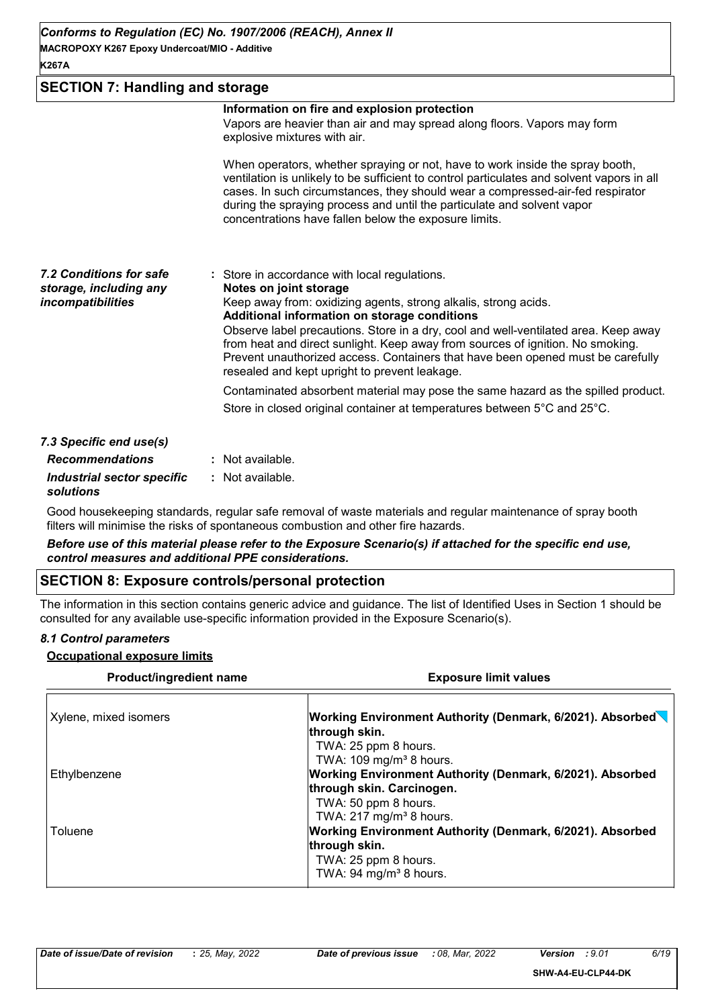# **SECTION 7: Handling and storage**

|                                                                        | Information on fire and explosion protection<br>Vapors are heavier than air and may spread along floors. Vapors may form<br>explosive mixtures with air.                                                                                                                                                                                                                                                                                                                                                |
|------------------------------------------------------------------------|---------------------------------------------------------------------------------------------------------------------------------------------------------------------------------------------------------------------------------------------------------------------------------------------------------------------------------------------------------------------------------------------------------------------------------------------------------------------------------------------------------|
|                                                                        | When operators, whether spraying or not, have to work inside the spray booth,<br>ventilation is unlikely to be sufficient to control particulates and solvent vapors in all<br>cases. In such circumstances, they should wear a compressed-air-fed respirator<br>during the spraying process and until the particulate and solvent vapor<br>concentrations have fallen below the exposure limits.                                                                                                       |
| 7.2 Conditions for safe<br>storage, including any<br>incompatibilities | : Store in accordance with local regulations.<br>Notes on joint storage<br>Keep away from: oxidizing agents, strong alkalis, strong acids.<br>Additional information on storage conditions<br>Observe label precautions. Store in a dry, cool and well-ventilated area. Keep away<br>from heat and direct sunlight. Keep away from sources of ignition. No smoking.<br>Prevent unauthorized access. Containers that have been opened must be carefully<br>resealed and kept upright to prevent leakage. |
|                                                                        | Contaminated absorbent material may pose the same hazard as the spilled product.<br>Store in closed original container at temperatures between $5^{\circ}$ C and 25 $^{\circ}$ C.                                                                                                                                                                                                                                                                                                                       |
| 7.3 Specific end use(s)                                                |                                                                                                                                                                                                                                                                                                                                                                                                                                                                                                         |
| <b>Recommendations</b>                                                 | : Not available.                                                                                                                                                                                                                                                                                                                                                                                                                                                                                        |
| Industrial sector specific                                             | : Not available.                                                                                                                                                                                                                                                                                                                                                                                                                                                                                        |

*solutions*

Good housekeeping standards, regular safe removal of waste materials and regular maintenance of spray booth filters will minimise the risks of spontaneous combustion and other fire hazards.

*Before use of this material please refer to the Exposure Scenario(s) if attached for the specific end use, control measures and additional PPE considerations.*

#### **SECTION 8: Exposure controls/personal protection**

The information in this section contains generic advice and guidance. The list of Identified Uses in Section 1 should be consulted for any available use-specific information provided in the Exposure Scenario(s).

#### *8.1 Control parameters*

#### **Occupational exposure limits**

| Product/ingredient name | <b>Exposure limit values</b>                                                                              |  |  |
|-------------------------|-----------------------------------------------------------------------------------------------------------|--|--|
| Xylene, mixed isomers   | Working Environment Authority (Denmark, 6/2021). Absorbed<br>through skin.                                |  |  |
|                         | TWA: 25 ppm 8 hours.<br>TWA: 109 mg/m <sup>3</sup> 8 hours.                                               |  |  |
| Ethylbenzene            | <b>Working Environment Authority (Denmark, 6/2021). Absorbed</b><br>through skin. Carcinogen.             |  |  |
|                         | TWA: 50 ppm 8 hours.<br>TWA: 217 mg/m <sup>3</sup> 8 hours.                                               |  |  |
| Toluene                 | <b>Working Environment Authority (Denmark, 6/2021). Absorbed</b><br>through skin.<br>TWA: 25 ppm 8 hours. |  |  |
|                         | TWA: 94 mg/m <sup>3</sup> 8 hours.                                                                        |  |  |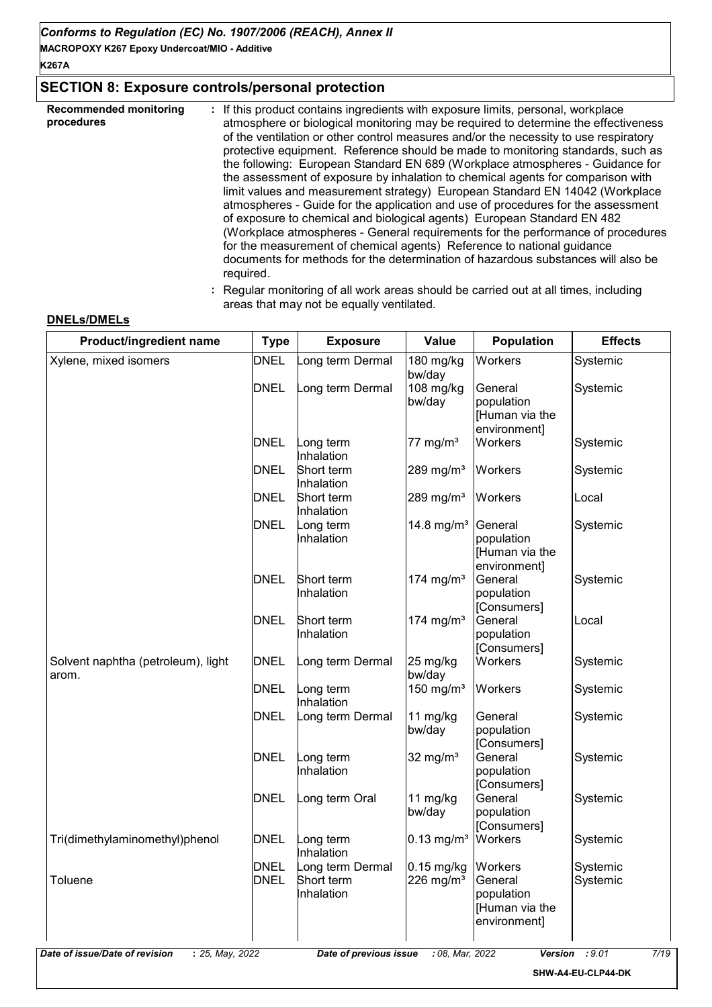**MACROPOXY K267 Epoxy Undercoat/MIO - Additive**

**K267A**

# **SECTION 8: Exposure controls/personal protection**

| <b>Recommended monitoring</b><br>procedures | If this product contains ingredients with exposure limits, personal, workplace<br>atmosphere or biological monitoring may be required to determine the effectiveness<br>of the ventilation or other control measures and/or the necessity to use respiratory<br>protective equipment. Reference should be made to monitoring standards, such as<br>the following: European Standard EN 689 (Workplace atmospheres - Guidance for<br>the assessment of exposure by inhalation to chemical agents for comparison with<br>limit values and measurement strategy) European Standard EN 14042 (Workplace<br>atmospheres - Guide for the application and use of procedures for the assessment<br>of exposure to chemical and biological agents) European Standard EN 482<br>(Workplace atmospheres - General requirements for the performance of procedures<br>for the measurement of chemical agents) Reference to national guidance<br>documents for methods for the determination of hazardous substances will also be<br>required. |
|---------------------------------------------|----------------------------------------------------------------------------------------------------------------------------------------------------------------------------------------------------------------------------------------------------------------------------------------------------------------------------------------------------------------------------------------------------------------------------------------------------------------------------------------------------------------------------------------------------------------------------------------------------------------------------------------------------------------------------------------------------------------------------------------------------------------------------------------------------------------------------------------------------------------------------------------------------------------------------------------------------------------------------------------------------------------------------------|
|                                             |                                                                                                                                                                                                                                                                                                                                                                                                                                                                                                                                                                                                                                                                                                                                                                                                                                                                                                                                                                                                                                  |

**:** Regular monitoring of all work areas should be carried out at all times, including areas that may not be equally ventilated.

| Product/ingredient name                     | <b>Type</b>                | <b>Exposure</b>                              | Value                                 | <b>Population</b>                                                  | <b>Effects</b>       |
|---------------------------------------------|----------------------------|----------------------------------------------|---------------------------------------|--------------------------------------------------------------------|----------------------|
| Xylene, mixed isomers                       | <b>DNEL</b>                | ong term Dermal                              | 180 mg/kg<br>bw/day                   | Workers                                                            | Systemic             |
|                                             | <b>DNEL</b>                | ong term Dermal                              | 108 mg/kg<br>bw/day                   | General<br>population<br>[Human via the<br>environment]            | Systemic             |
|                                             | <b>DNEL</b>                | ong term.<br>Inhalation                      | 77 mg/ $m3$                           | Workers                                                            | Systemic             |
|                                             | <b>DNEL</b>                | Short term<br>Inhalation                     | 289 mg/m <sup>3</sup>                 | Workers                                                            | Systemic             |
|                                             | <b>DNEL</b>                | Short term<br>Inhalation                     | 289 mg/m <sup>3</sup>                 | Workers                                                            | Local                |
|                                             | <b>DNEL</b>                | ong term<br>Inhalation                       | 14.8 mg/ $m^3$                        | General<br>population<br>[Human via the<br>environment]            | Systemic             |
|                                             | <b>DNEL</b>                | Short term<br>Inhalation                     | 174 mg/m $3$                          | General<br>population<br>[Consumers]                               | Systemic             |
|                                             | <b>DNEL</b>                | Short term<br>Inhalation                     | 174 mg/m $3$                          | General<br>population<br>[Consumers]                               | Local                |
| Solvent naphtha (petroleum), light<br>arom. | <b>DNEL</b>                | ong term Dermal                              | 25 mg/kg<br>bw/day                    | Workers                                                            | Systemic             |
|                                             | <b>DNEL</b>                | ong term<br>Inhalation                       | 150 mg/m $3$                          | Workers                                                            | Systemic             |
|                                             | <b>DNEL</b>                | ong term Dermal.                             | 11 mg/kg<br>bw/day                    | General<br>population<br>[Consumers]                               | Systemic             |
|                                             | <b>DNEL</b>                | ong term<br>Inhalation                       | 32 mg/ $m3$                           | General<br>population<br>[Consumers]                               | Systemic             |
|                                             | <b>DNEL</b>                | ong term Oral                                | 11 mg/kg<br>bw/day                    | General<br>population<br>[Consumers]                               | Systemic             |
| Tri(dimethylaminomethyl)phenol              | <b>DNEL</b>                | ong term.<br>Inhalation                      | $0.13$ mg/m <sup>3</sup>              | Workers                                                            | Systemic             |
| Toluene                                     | <b>DNEL</b><br><b>DNEL</b> | Long term Dermal<br>Short term<br>Inhalation | $0.15$ mg/kg<br>226 mg/m <sup>3</sup> | Workers<br>General<br>population<br>[Human via the<br>environment] | Systemic<br>Systemic |

#### **DNELs/DMELs**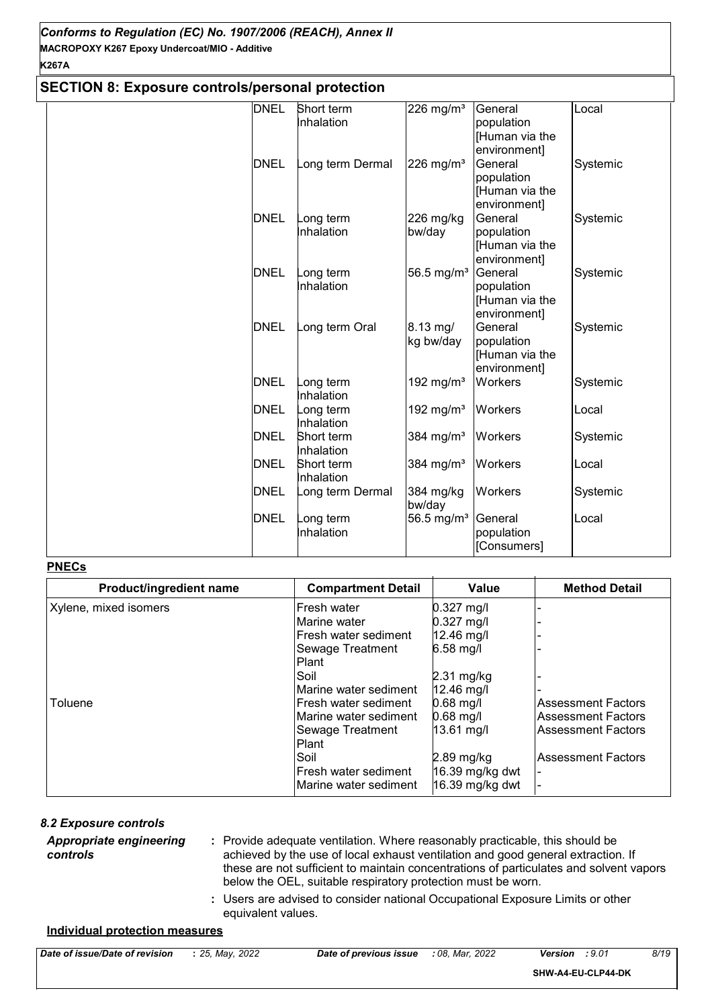#### **SECTION 8: Exposure controls/personal protection** DNEL Short term Inhalation  $226$  mg/m $3$  General population [Human via the environment] Local DNEL Long term Dermal 226 mg/m<sup>3</sup> General population [Human via the environment] Systemic DNEL Long term Inhalation 226 mg/kg bw/day **General** population [Human via the environment]<br>General Systemic DNEL Long term Inhalation 56.5 mg/ $m<sup>3</sup>$ population **Human** via the environment] Systemic  $DNEL$  Long term Oral  $8.13 \text{ mg}/$ kg bw/day **General** population [Human via the environment] Systemic DNEL Long term Inhalation 192 mg/m<sup>3</sup> Workers Systemic DNEL Long term Inhalation 192 mg/m $3$  Workers  $\vert$ Local DNEL Short term Inhalation 384 mg/m<sup>3</sup> Workers Systemic DNEL Short term Inhalation  $384 \text{ mg/m}$ <sup>3</sup> Workers  $\vert$ Local DNEL Long term Dermal 384 mg/kg Workers bw/day Systemic DNEL Long term Inhalation 56.5 mg/m $3$  General population [Consumers] Local

#### **PNECs**

| Product/ingredient name | <b>Compartment Detail</b> | <b>Value</b>    | <b>Method Detail</b>      |
|-------------------------|---------------------------|-----------------|---------------------------|
| Xylene, mixed isomers   | <b>IFresh water</b>       | $0.327$ mg/l    |                           |
|                         | Marine water              | $0.327$ mg/l    |                           |
|                         | lFresh water sediment     | 12.46 mg/l      |                           |
|                         | Sewage Treatment          | 6.58 mg/l       |                           |
|                         | <b>Plant</b>              |                 |                           |
|                         | Soil                      | $2.31$ mg/kg    |                           |
|                         | Marine water sediment     | 12.46 mg/l      |                           |
| Toluene                 | lFresh water sediment     | $0.68$ mg/l     | Assessment Factors        |
|                         | Marine water sediment     | $0.68$ mg/l     | Assessment Factors        |
|                         | Sewage Treatment          | 13.61 mg/l      | l Assessment Factors      |
|                         | <b>Plant</b>              |                 |                           |
|                         | <b>Soil</b>               | $2.89$ mg/kg    | <b>Assessment Factors</b> |
|                         | IFresh water sediment     | 16.39 mg/kg dwt |                           |
|                         | lMarine water sediment    | 16.39 mg/kg dwt |                           |

| 8.2 Exposure controls                      |                                                                                                                                                                                                                                                                                                                            |
|--------------------------------------------|----------------------------------------------------------------------------------------------------------------------------------------------------------------------------------------------------------------------------------------------------------------------------------------------------------------------------|
| <b>Appropriate engineering</b><br>controls | : Provide adequate ventilation. Where reasonably practicable, this should be<br>achieved by the use of local exhaust ventilation and good general extraction. If<br>these are not sufficient to maintain concentrations of particulates and solvent vapors<br>below the OEL, suitable respiratory protection must be worn. |
|                                            | : Users are advised to consider national Occupational Exposure Limits or other<br>equivalent values.                                                                                                                                                                                                                       |

#### **Individual protection measures**

| Date of issue/Date<br>: of revision | 2022<br>つら<br>Mav<br>2J | : of previous<br>issue<br>Date | 2022<br>: 08.<br>Mar | <b>Version</b><br>. Y.U | 8/19 |
|-------------------------------------|-------------------------|--------------------------------|----------------------|-------------------------|------|
|                                     |                         |                                |                      |                         |      |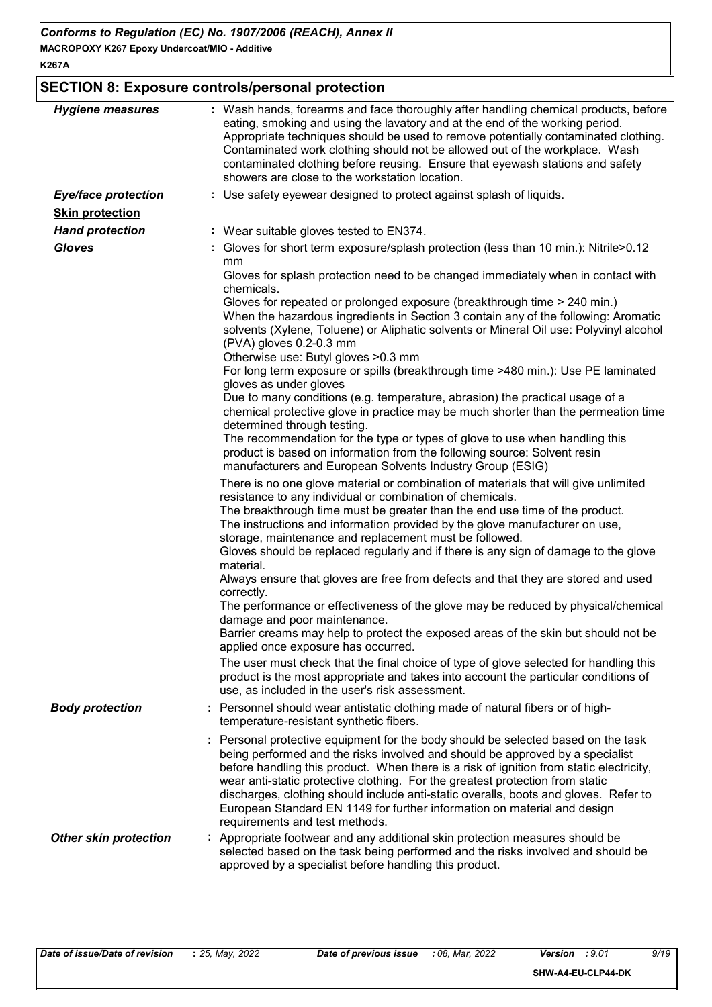# **SECTION 8: Exposure controls/personal protection**

| <b>Hygiene measures</b>      | : Wash hands, forearms and face thoroughly after handling chemical products, before<br>eating, smoking and using the lavatory and at the end of the working period.<br>Appropriate techniques should be used to remove potentially contaminated clothing.<br>Contaminated work clothing should not be allowed out of the workplace. Wash<br>contaminated clothing before reusing. Ensure that eyewash stations and safety<br>showers are close to the workstation location.                                                                          |
|------------------------------|------------------------------------------------------------------------------------------------------------------------------------------------------------------------------------------------------------------------------------------------------------------------------------------------------------------------------------------------------------------------------------------------------------------------------------------------------------------------------------------------------------------------------------------------------|
| <b>Eye/face protection</b>   | : Use safety eyewear designed to protect against splash of liquids.                                                                                                                                                                                                                                                                                                                                                                                                                                                                                  |
| <b>Skin protection</b>       |                                                                                                                                                                                                                                                                                                                                                                                                                                                                                                                                                      |
| <b>Hand protection</b>       | : Wear suitable gloves tested to EN374.                                                                                                                                                                                                                                                                                                                                                                                                                                                                                                              |
| <b>Gloves</b>                | : Gloves for short term exposure/splash protection (less than 10 min.): Nitrile>0.12<br>mm                                                                                                                                                                                                                                                                                                                                                                                                                                                           |
|                              | Gloves for splash protection need to be changed immediately when in contact with<br>chemicals.                                                                                                                                                                                                                                                                                                                                                                                                                                                       |
|                              | Gloves for repeated or prolonged exposure (breakthrough time > 240 min.)<br>When the hazardous ingredients in Section 3 contain any of the following: Aromatic<br>solvents (Xylene, Toluene) or Aliphatic solvents or Mineral Oil use: Polyvinyl alcohol<br>(PVA) gloves 0.2-0.3 mm                                                                                                                                                                                                                                                                  |
|                              | Otherwise use: Butyl gloves > 0.3 mm<br>For long term exposure or spills (breakthrough time >480 min.): Use PE laminated<br>gloves as under gloves                                                                                                                                                                                                                                                                                                                                                                                                   |
|                              | Due to many conditions (e.g. temperature, abrasion) the practical usage of a<br>chemical protective glove in practice may be much shorter than the permeation time<br>determined through testing.                                                                                                                                                                                                                                                                                                                                                    |
|                              | The recommendation for the type or types of glove to use when handling this<br>product is based on information from the following source: Solvent resin<br>manufacturers and European Solvents Industry Group (ESIG)                                                                                                                                                                                                                                                                                                                                 |
|                              | There is no one glove material or combination of materials that will give unlimited<br>resistance to any individual or combination of chemicals.                                                                                                                                                                                                                                                                                                                                                                                                     |
|                              | The breakthrough time must be greater than the end use time of the product.<br>The instructions and information provided by the glove manufacturer on use,<br>storage, maintenance and replacement must be followed.                                                                                                                                                                                                                                                                                                                                 |
|                              | Gloves should be replaced regularly and if there is any sign of damage to the glove<br>material.                                                                                                                                                                                                                                                                                                                                                                                                                                                     |
|                              | Always ensure that gloves are free from defects and that they are stored and used<br>correctly.                                                                                                                                                                                                                                                                                                                                                                                                                                                      |
|                              | The performance or effectiveness of the glove may be reduced by physical/chemical<br>damage and poor maintenance.                                                                                                                                                                                                                                                                                                                                                                                                                                    |
|                              | Barrier creams may help to protect the exposed areas of the skin but should not be<br>applied once exposure has occurred.                                                                                                                                                                                                                                                                                                                                                                                                                            |
|                              | The user must check that the final choice of type of glove selected for handling this<br>product is the most appropriate and takes into account the particular conditions of<br>use, as included in the user's risk assessment.                                                                                                                                                                                                                                                                                                                      |
| <b>Body protection</b>       | : Personnel should wear antistatic clothing made of natural fibers or of high-<br>temperature-resistant synthetic fibers.                                                                                                                                                                                                                                                                                                                                                                                                                            |
|                              | : Personal protective equipment for the body should be selected based on the task<br>being performed and the risks involved and should be approved by a specialist<br>before handling this product. When there is a risk of ignition from static electricity,<br>wear anti-static protective clothing. For the greatest protection from static<br>discharges, clothing should include anti-static overalls, boots and gloves. Refer to<br>European Standard EN 1149 for further information on material and design<br>requirements and test methods. |
| <b>Other skin protection</b> | : Appropriate footwear and any additional skin protection measures should be<br>selected based on the task being performed and the risks involved and should be<br>approved by a specialist before handling this product.                                                                                                                                                                                                                                                                                                                            |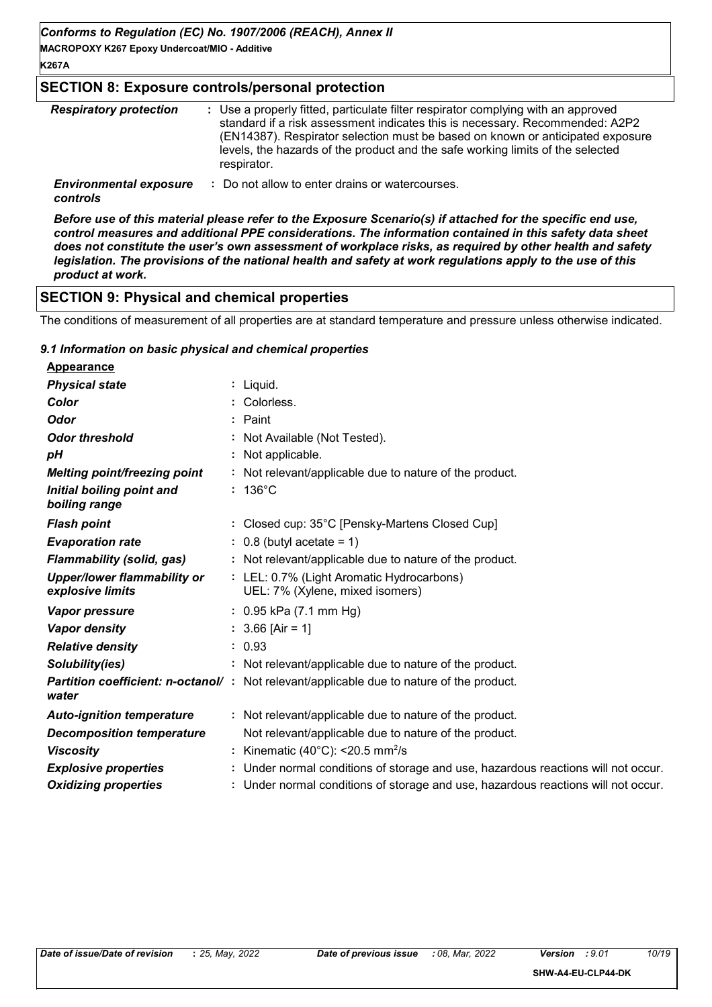**MACROPOXY K267 Epoxy Undercoat/MIO - Additive**

#### **SECTION 8: Exposure controls/personal protection**

| <b>Respiratory protection</b>             | : Use a properly fitted, particulate filter respirator complying with an approved<br>standard if a risk assessment indicates this is necessary. Recommended: A2P2<br>(EN14387). Respirator selection must be based on known or anticipated exposure<br>levels, the hazards of the product and the safe working limits of the selected<br>respirator. |
|-------------------------------------------|------------------------------------------------------------------------------------------------------------------------------------------------------------------------------------------------------------------------------------------------------------------------------------------------------------------------------------------------------|
| <b>Environmental exposure</b><br>controls | : Do not allow to enter drains or watercourses.                                                                                                                                                                                                                                                                                                      |

*Before use of this material please refer to the Exposure Scenario(s) if attached for the specific end use, control measures and additional PPE considerations. The information contained in this safety data sheet does not constitute the user's own assessment of workplace risks, as required by other health and safety legislation. The provisions of the national health and safety at work regulations apply to the use of this product at work.*

# **SECTION 9: Physical and chemical properties**

The conditions of measurement of all properties are at standard temperature and pressure unless otherwise indicated.

#### *9.1 Information on basic physical and chemical properties*

| <b>Appearance</b>                                      |                                                                                                  |
|--------------------------------------------------------|--------------------------------------------------------------------------------------------------|
| <b>Physical state</b>                                  | : Liquid.                                                                                        |
| Color                                                  | : Colorless.                                                                                     |
| <b>Odor</b>                                            | : Paint                                                                                          |
| <b>Odor threshold</b>                                  | : Not Available (Not Tested).                                                                    |
| pН                                                     | : Not applicable.                                                                                |
| <b>Melting point/freezing point</b>                    | : Not relevant/applicable due to nature of the product.                                          |
| Initial boiling point and<br>boiling range             | $: 136^{\circ}$ C                                                                                |
| <b>Flash point</b>                                     | : Closed cup: 35°C [Pensky-Martens Closed Cup]                                                   |
| <b>Evaporation rate</b>                                | $: 0.8$ (butyl acetate = 1)                                                                      |
| <b>Flammability (solid, gas)</b>                       | : Not relevant/applicable due to nature of the product.                                          |
| <b>Upper/lower flammability or</b><br>explosive limits | : LEL: 0.7% (Light Aromatic Hydrocarbons)<br>UEL: 7% (Xylene, mixed isomers)                     |
| <b>Vapor pressure</b>                                  | $: 0.95$ kPa (7.1 mm Hg)                                                                         |
| <b>Vapor density</b>                                   | $: 3.66$ [Air = 1]                                                                               |
| <b>Relative density</b>                                | : 0.93                                                                                           |
| Solubility(ies)                                        | : Not relevant/applicable due to nature of the product.                                          |
| water                                                  | <b>Partition coefficient: n-octanol/</b> : Not relevant/applicable due to nature of the product. |
| <b>Auto-ignition temperature</b>                       | : Not relevant/applicable due to nature of the product.                                          |
| <b>Decomposition temperature</b>                       | Not relevant/applicable due to nature of the product.                                            |
| <b>Viscosity</b>                                       | : Kinematic (40°C): <20.5 mm <sup>2</sup> /s                                                     |
| <b>Explosive properties</b>                            | : Under normal conditions of storage and use, hazardous reactions will not occur.                |
| <b>Oxidizing properties</b>                            | : Under normal conditions of storage and use, hazardous reactions will not occur.                |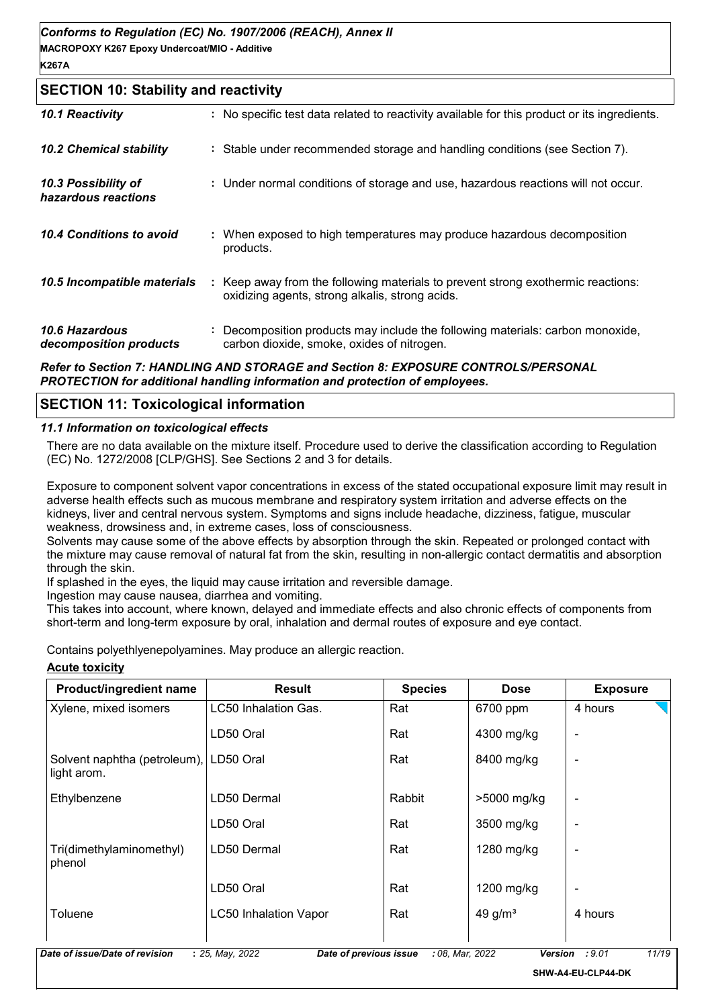#### **SECTION 10: Stability and reactivity**

| 10.1 Reactivity                                 | : No specific test data related to reactivity available for this product or its ingredients.                                        |
|-------------------------------------------------|-------------------------------------------------------------------------------------------------------------------------------------|
| <b>10.2 Chemical stability</b>                  | : Stable under recommended storage and handling conditions (see Section 7).                                                         |
| 10.3 Possibility of<br>hazardous reactions      | : Under normal conditions of storage and use, hazardous reactions will not occur.                                                   |
| 10.4 Conditions to avoid                        | : When exposed to high temperatures may produce hazardous decomposition<br>products.                                                |
| 10.5 Incompatible materials                     | : Keep away from the following materials to prevent strong exothermic reactions:<br>oxidizing agents, strong alkalis, strong acids. |
| <b>10.6 Hazardous</b><br>decomposition products | : Decomposition products may include the following materials: carbon monoxide,<br>carbon dioxide, smoke, oxides of nitrogen.        |
|                                                 |                                                                                                                                     |

*Refer to Section 7: HANDLING AND STORAGE and Section 8: EXPOSURE CONTROLS/PERSONAL PROTECTION for additional handling information and protection of employees.*

# **SECTION 11: Toxicological information**

#### *11.1 Information on toxicological effects*

There are no data available on the mixture itself. Procedure used to derive the classification according to Regulation (EC) No. 1272/2008 [CLP/GHS]. See Sections 2 and 3 for details.

Exposure to component solvent vapor concentrations in excess of the stated occupational exposure limit may result in adverse health effects such as mucous membrane and respiratory system irritation and adverse effects on the kidneys, liver and central nervous system. Symptoms and signs include headache, dizziness, fatigue, muscular weakness, drowsiness and, in extreme cases, loss of consciousness.

Solvents may cause some of the above effects by absorption through the skin. Repeated or prolonged contact with the mixture may cause removal of natural fat from the skin, resulting in non-allergic contact dermatitis and absorption through the skin.

If splashed in the eyes, the liquid may cause irritation and reversible damage.

Ingestion may cause nausea, diarrhea and vomiting.

This takes into account, where known, delayed and immediate effects and also chronic effects of components from short-term and long-term exposure by oral, inhalation and dermal routes of exposure and eye contact.

Contains polyethlyenepolyamines. May produce an allergic reaction.

#### **Acute toxicity**

| Product/ingredient name                     | <b>Result</b>                | <b>Species</b> | <b>Dose</b> | <b>Exposure</b> |
|---------------------------------------------|------------------------------|----------------|-------------|-----------------|
| Xylene, mixed isomers                       | LC50 Inhalation Gas.         | Rat            | 6700 ppm    | 4 hours         |
|                                             | LD50 Oral                    | Rat            | 4300 mg/kg  | -               |
| Solvent naphtha (petroleum),<br>light arom. | LD50 Oral                    | Rat            | 8400 mg/kg  | ٠               |
| Ethylbenzene                                | LD50 Dermal                  | Rabbit         | >5000 mg/kg | -               |
|                                             | LD50 Oral                    | Rat            | 3500 mg/kg  |                 |
| Tri(dimethylaminomethyl)<br>phenol          | LD50 Dermal                  | Rat            | 1280 mg/kg  |                 |
|                                             | LD50 Oral                    | Rat            | 1200 mg/kg  |                 |
| Toluene                                     | <b>LC50 Inhalation Vapor</b> | Rat            | 49 g/ $m3$  | 4 hours         |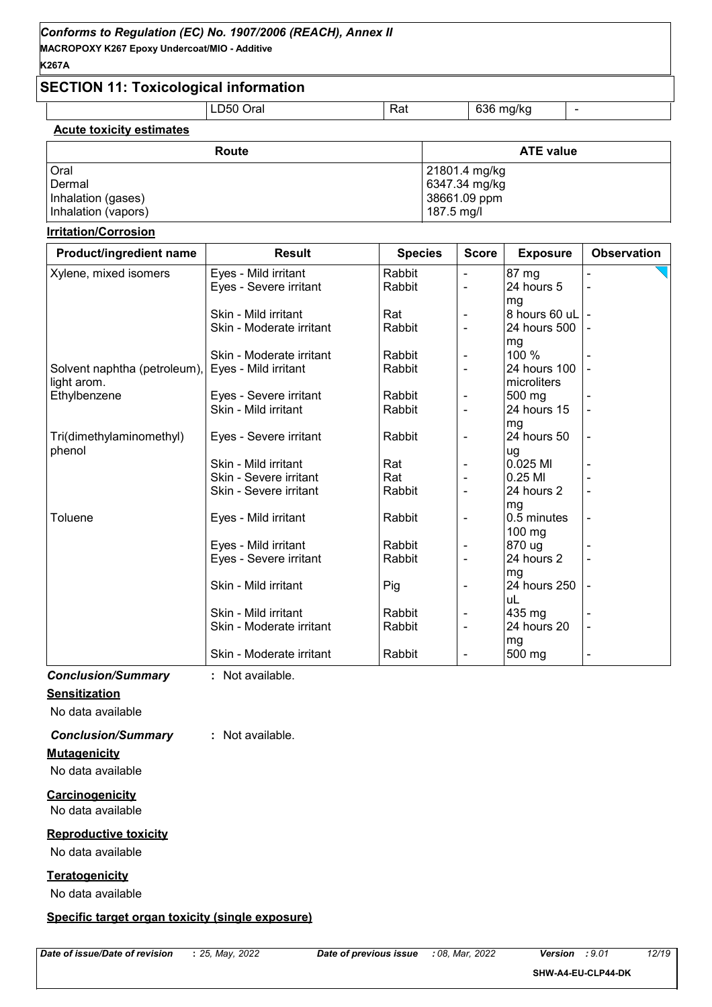# **Acute toxicity estimates**

| Route               | <b>ATE value</b> |
|---------------------|------------------|
| Oral                | 21801.4 mg/kg    |
| Dermal              | 6347.34 mg/kg    |
| Inhalation (gases)  | 38661.09 ppm     |
| Inhalation (vapors) | 187.5 mg/l       |

#### **Irritation/Corrosion**

| Product/ingredient name      | <b>Result</b>            | <b>Species</b> | <b>Score</b>   | <b>Exposure</b> | <b>Observation</b> |
|------------------------------|--------------------------|----------------|----------------|-----------------|--------------------|
| Xylene, mixed isomers        | Eyes - Mild irritant     | Rabbit         |                | 87 mg           |                    |
|                              | Eyes - Severe irritant   | Rabbit         | $\blacksquare$ | 24 hours 5      |                    |
|                              |                          |                |                | mg              |                    |
|                              | Skin - Mild irritant     | Rat            |                | 8 hours 60 uL - |                    |
|                              | Skin - Moderate irritant | Rabbit         | $\blacksquare$ | 24 hours 500    |                    |
|                              |                          |                |                | mg              |                    |
|                              | Skin - Moderate irritant | Rabbit         |                | 100 %           |                    |
| Solvent naphtha (petroleum), | Eyes - Mild irritant     | Rabbit         | ä,             | 24 hours 100    |                    |
| light arom.                  |                          |                |                | microliters     |                    |
| Ethylbenzene                 | Eyes - Severe irritant   | Rabbit         | $\blacksquare$ | 500 mg          |                    |
|                              | Skin - Mild irritant     | Rabbit         |                | 24 hours 15     |                    |
|                              |                          |                |                | mg              |                    |
| Tri(dimethylaminomethyl)     | Eyes - Severe irritant   | Rabbit         |                | 24 hours 50     | $\blacksquare$     |
| phenol                       |                          |                |                | ug              |                    |
|                              | Skin - Mild irritant     | Rat            |                | $0.025$ MI      |                    |
|                              | Skin - Severe irritant   | Rat            |                | 0.25 MI         |                    |
|                              | Skin - Severe irritant   | Rabbit         |                | 24 hours 2      |                    |
|                              |                          |                |                | mg              |                    |
| Toluene                      | Eyes - Mild irritant     | Rabbit         |                | 0.5 minutes     |                    |
|                              |                          |                |                | 100 mg          |                    |
|                              | Eyes - Mild irritant     | Rabbit         | $\blacksquare$ | 870 ug          |                    |
|                              | Eyes - Severe irritant   | Rabbit         |                | 24 hours 2      |                    |
|                              |                          |                |                | mg              |                    |
|                              | Skin - Mild irritant     | Pig            |                | 24 hours 250    |                    |
|                              |                          |                |                | uL              |                    |
|                              | Skin - Mild irritant     | Rabbit         | $\blacksquare$ | 435 mg          |                    |
|                              | Skin - Moderate irritant | Rabbit         |                | 24 hours 20     |                    |
|                              |                          |                |                | mg              |                    |
|                              | Skin - Moderate irritant | Rabbit         |                | 500 mg          |                    |

# *Conclusion/Summary* **:** Not available.

**Sensitization**

No data available

# *Conclusion/Summary* **:** Not available.

**Mutagenicity**

No data available

**Carcinogenicity** No data available

#### **Reproductive toxicity**

No data available

#### **Teratogenicity**

No data available

#### **Specific target organ toxicity (single exposure)**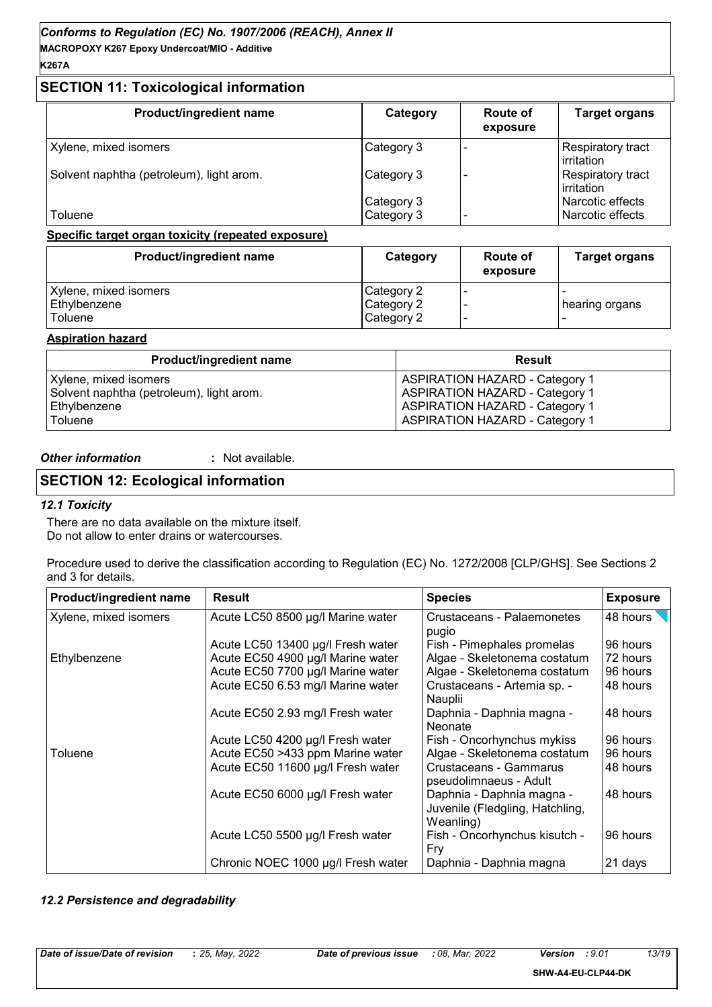**MACROPOXY K267 Epoxy Undercoat/MIO - Additive K267A**

# **SECTION 11: Toxicological information**

| Product/ingredient name                  | Category                 | <b>Route of</b><br>exposure | <b>Target organs</b>                 |
|------------------------------------------|--------------------------|-----------------------------|--------------------------------------|
| Xylene, mixed isomers                    | Category 3               |                             | Respiratory tract<br>irritation      |
| Solvent naphtha (petroleum), light arom. | Category 3               |                             | Respiratory tract<br>irritation      |
| Toluene                                  | Category 3<br>Category 3 |                             | Narcotic effects<br>Narcotic effects |

#### **Specific target organ toxicity (repeated exposure)**

| Product/ingredient name | Category   | <b>Route of</b><br>exposure | <b>Target organs</b> |
|-------------------------|------------|-----------------------------|----------------------|
| Xylene, mixed isomers   | Category 2 |                             |                      |
| Ethylbenzene            | Category 2 |                             | hearing organs       |
| Toluene                 | Category 2 |                             |                      |

#### **Aspiration hazard**

| Product/ingredient name                  | <b>Result</b>                         |
|------------------------------------------|---------------------------------------|
| Xylene, mixed isomers                    | <b>ASPIRATION HAZARD - Category 1</b> |
| Solvent naphtha (petroleum), light arom. | <b>ASPIRATION HAZARD - Category 1</b> |
| Ethylbenzene                             | <b>ASPIRATION HAZARD - Category 1</b> |
| Toluene                                  | <b>ASPIRATION HAZARD - Category 1</b> |

*Other information* **:**

: Not available.

# **SECTION 12: Ecological information**

#### *12.1 Toxicity*

There are no data available on the mixture itself. Do not allow to enter drains or watercourses.

Procedure used to derive the classification according to Regulation (EC) No. 1272/2008 [CLP/GHS]. See Sections 2 and 3 for details.

| <b>Product/ingredient name</b> | <b>Result</b>                      | <b>Species</b>                                                            | <b>Exposure</b> |
|--------------------------------|------------------------------------|---------------------------------------------------------------------------|-----------------|
| Xylene, mixed isomers          | Acute LC50 8500 µg/l Marine water  | <b>Crustaceans - Palaemonetes</b><br>pugio                                | 48 hours        |
|                                | Acute LC50 13400 µg/l Fresh water  | Fish - Pimephales promelas                                                | 96 hours        |
| Ethylbenzene                   | Acute EC50 4900 µg/l Marine water  | Algae - Skeletonema costatum                                              | 72 hours        |
|                                | Acute EC50 7700 µg/l Marine water  | Algae - Skeletonema costatum                                              | 96 hours        |
|                                | Acute EC50 6.53 mg/l Marine water  | Crustaceans - Artemia sp. -<br>Nauplii                                    | 48 hours        |
|                                | Acute EC50 2.93 mg/l Fresh water   | Daphnia - Daphnia magna -<br>Neonate                                      | 48 hours        |
|                                | Acute LC50 4200 µg/l Fresh water   | Fish - Oncorhynchus mykiss                                                | 96 hours        |
| Toluene                        | Acute EC50 >433 ppm Marine water   | Algae - Skeletonema costatum                                              | 96 hours        |
|                                | Acute EC50 11600 µg/l Fresh water  | Crustaceans - Gammarus<br>pseudolimnaeus - Adult                          | 48 hours        |
|                                | Acute EC50 6000 µg/l Fresh water   | Daphnia - Daphnia magna -<br>Juvenile (Fledgling, Hatchling,<br>Weanling) | 48 hours        |
|                                | Acute LC50 5500 µg/l Fresh water   | Fish - Oncorhynchus kisutch -<br>Fry                                      | 96 hours        |
|                                | Chronic NOEC 1000 µg/l Fresh water | Daphnia - Daphnia magna                                                   | 21 days         |

#### *12.2 Persistence and degradability*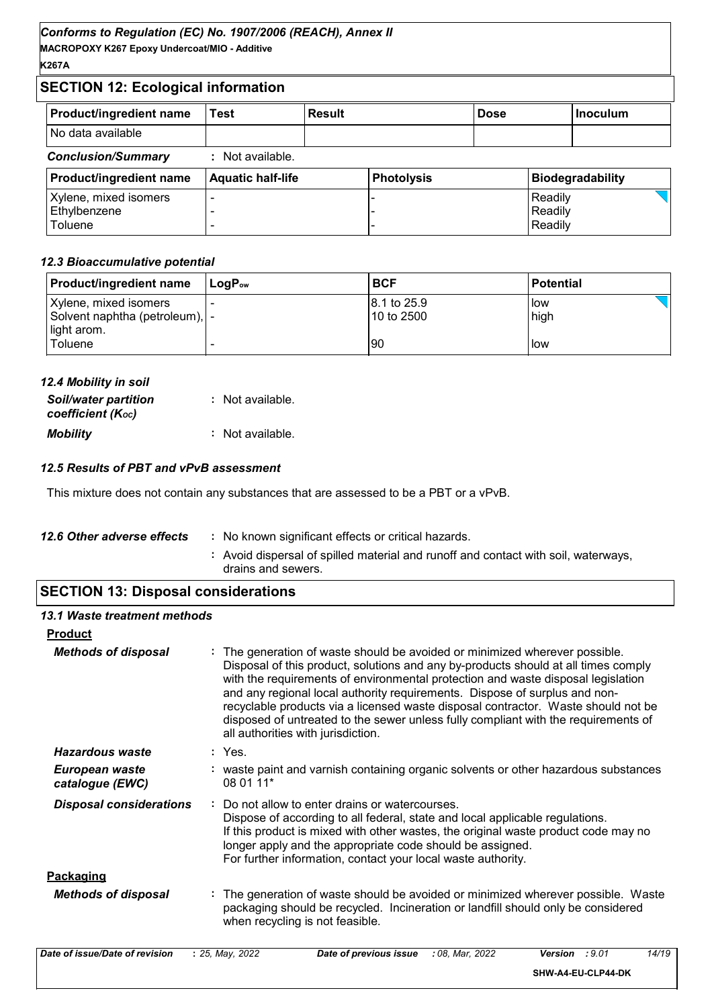# **SECTION 12: Ecological information**

| <b>Product/ingredient name</b> | Test | <b>Result</b> | <b>Dose</b> | l Inoculum |
|--------------------------------|------|---------------|-------------|------------|
| No data available              |      |               |             |            |

# *Conclusion/Summary* **:** Not available.

| <b>Product/ingredient name</b> | <b>Aquatic half-life</b> | Photolysis | <b>Biodegradability</b> |
|--------------------------------|--------------------------|------------|-------------------------|
| Xylene, mixed isomers          |                          |            | Readily                 |
| Ethylbenzene                   |                          |            | Readily                 |
| Toluene                        |                          |            | Readily                 |

#### *12.3 Bioaccumulative potential*

| <b>Product/ingredient name</b>   | ⊺LoɑP <sub>∾</sub> | <b>BCF</b>   | <b>Potential</b> |
|----------------------------------|--------------------|--------------|------------------|
| Xylene, mixed isomers            |                    | 18.1 to 25.9 | l low            |
| Solvent naphtha (petroleum),   - |                    | l10 to 2500  | high             |
| light arom.                      |                    |              |                  |
| Toluene                          |                    | 90           | l low            |

| 12.4 Mobility in soil                            |                  |
|--------------------------------------------------|------------------|
| <b>Soil/water partition</b><br>coefficient (Koc) | : Not available. |
| <b>Mobility</b>                                  | : Not available. |

# *12.5 Results of PBT and vPvB assessment*

This mixture does not contain any substances that are assessed to be a PBT or a vPvB.

| 12.6 Other adverse effects | : No known significant effects or critical hazards.                                                      |
|----------------------------|----------------------------------------------------------------------------------------------------------|
|                            | : Avoid dispersal of spilled material and runoff and contact with soil, waterways,<br>drains and sewers. |
|                            |                                                                                                          |

# **SECTION 13: Disposal considerations**

| 13.1 Waste treatment methods      |                                                                                                                                                                                                                                                                                                                                                                                                                                                                                                                                                      |
|-----------------------------------|------------------------------------------------------------------------------------------------------------------------------------------------------------------------------------------------------------------------------------------------------------------------------------------------------------------------------------------------------------------------------------------------------------------------------------------------------------------------------------------------------------------------------------------------------|
| <b>Product</b>                    |                                                                                                                                                                                                                                                                                                                                                                                                                                                                                                                                                      |
| <b>Methods of disposal</b>        | : The generation of waste should be avoided or minimized wherever possible.<br>Disposal of this product, solutions and any by-products should at all times comply<br>with the requirements of environmental protection and waste disposal legislation<br>and any regional local authority requirements. Dispose of surplus and non-<br>recyclable products via a licensed waste disposal contractor. Waste should not be<br>disposed of untreated to the sewer unless fully compliant with the requirements of<br>all authorities with jurisdiction. |
| Hazardous waste                   | : Yes.                                                                                                                                                                                                                                                                                                                                                                                                                                                                                                                                               |
| European waste<br>catalogue (EWC) | : waste paint and varnish containing organic solvents or other hazardous substances<br>08 01 11*                                                                                                                                                                                                                                                                                                                                                                                                                                                     |
| <b>Disposal considerations</b>    | : Do not allow to enter drains or watercourses.<br>Dispose of according to all federal, state and local applicable regulations.<br>If this product is mixed with other wastes, the original waste product code may no<br>longer apply and the appropriate code should be assigned.<br>For further information, contact your local waste authority.                                                                                                                                                                                                   |
| <b>Packaging</b>                  |                                                                                                                                                                                                                                                                                                                                                                                                                                                                                                                                                      |
| <b>Methods of disposal</b>        | : The generation of waste should be avoided or minimized wherever possible. Waste<br>packaging should be recycled. Incineration or landfill should only be considered<br>when recycling is not feasible.                                                                                                                                                                                                                                                                                                                                             |

| Date of issue/Date of revision | 25. Mav. 2022 | Date of previous issue | : 08. Mar. 2022 | Version<br>:9.01   | 14/19 |
|--------------------------------|---------------|------------------------|-----------------|--------------------|-------|
|                                |               |                        |                 | SHW-A4-EU-CLP44-DK |       |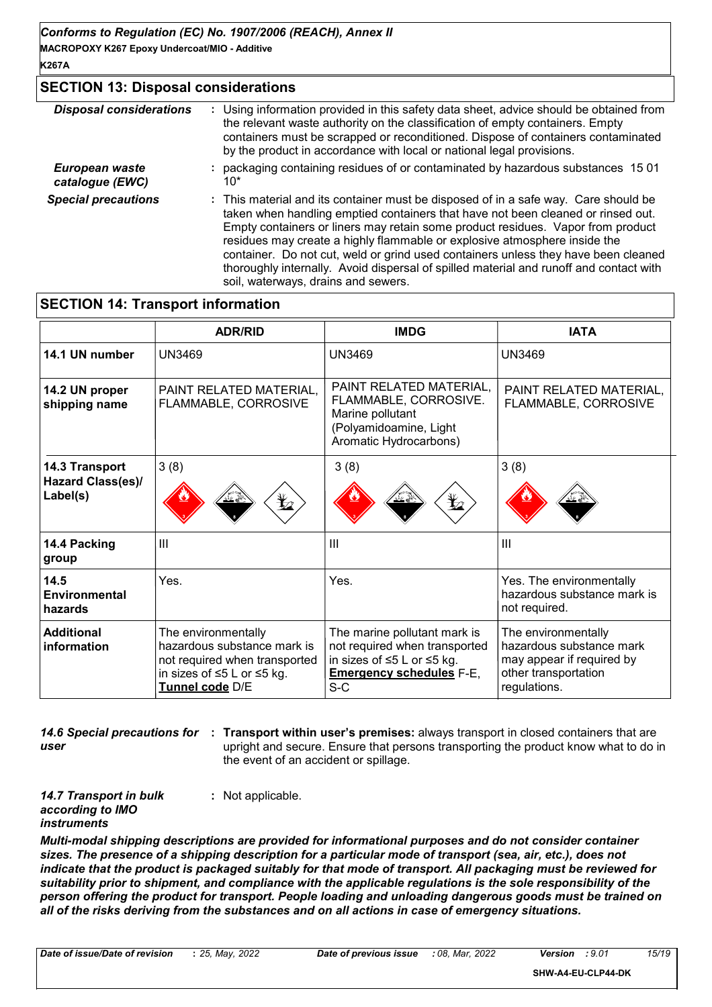# **SECTION 13: Disposal considerations**

| <b>Disposal considerations</b>    | : Using information provided in this safety data sheet, advice should be obtained from<br>the relevant waste authority on the classification of empty containers. Empty<br>containers must be scrapped or reconditioned. Dispose of containers contaminated<br>by the product in accordance with local or national legal provisions.                                                                                                                                                                                                                           |
|-----------------------------------|----------------------------------------------------------------------------------------------------------------------------------------------------------------------------------------------------------------------------------------------------------------------------------------------------------------------------------------------------------------------------------------------------------------------------------------------------------------------------------------------------------------------------------------------------------------|
| European waste<br>catalogue (EWC) | packaging containing residues of or contaminated by hazardous substances 1501<br>10*                                                                                                                                                                                                                                                                                                                                                                                                                                                                           |
| <b>Special precautions</b>        | : This material and its container must be disposed of in a safe way. Care should be<br>taken when handling emptied containers that have not been cleaned or rinsed out.<br>Empty containers or liners may retain some product residues. Vapor from product<br>residues may create a highly flammable or explosive atmosphere inside the<br>container. Do not cut, weld or grind used containers unless they have been cleaned<br>thoroughly internally. Avoid dispersal of spilled material and runoff and contact with<br>soil, waterways, drains and sewers. |

# **SECTION 14: Transport information**

|                                                 | <b>ADR/RID</b>                                                                                                                       | <b>IMDG</b>                                                                                                                             | <b>IATA</b>                                                                                                          |
|-------------------------------------------------|--------------------------------------------------------------------------------------------------------------------------------------|-----------------------------------------------------------------------------------------------------------------------------------------|----------------------------------------------------------------------------------------------------------------------|
| 14.1 UN number                                  | <b>UN3469</b>                                                                                                                        | <b>UN3469</b>                                                                                                                           | <b>UN3469</b>                                                                                                        |
| 14.2 UN proper<br>shipping name                 | PAINT RELATED MATERIAL,<br>FLAMMABLE, CORROSIVE                                                                                      | PAINT RELATED MATERIAL,<br>FLAMMABLE, CORROSIVE.<br>Marine pollutant<br>(Polyamidoamine, Light<br>Aromatic Hydrocarbons)                | PAINT RELATED MATERIAL,<br>FLAMMABLE, CORROSIVE                                                                      |
| 14.3 Transport<br>Hazard Class(es)/<br>Label(s) | 3(8)<br>$\bigstar$                                                                                                                   | 3(8)<br>$\mathbf{\mathbf{\mathbf{\mathbf{\mathbf{\mathbf{\mathbf{\mathbf{Y}}}}}}$                                                       | 3(8)                                                                                                                 |
| 14.4 Packing<br>group                           | III                                                                                                                                  | $\mathbf{III}$                                                                                                                          | III                                                                                                                  |
| 14.5<br><b>Environmental</b><br>hazards         | Yes.                                                                                                                                 | Yes.                                                                                                                                    | Yes. The environmentally<br>hazardous substance mark is<br>not required.                                             |
| <b>Additional</b><br>information                | The environmentally<br>hazardous substance mark is<br>not required when transported<br>in sizes of ≤5 L or ≤5 kg.<br>Tunnel code D/E | The marine pollutant mark is<br>not required when transported<br>in sizes of ≤5 L or ≤5 kg.<br><b>Emergency schedules F-E,</b><br>$S-C$ | The environmentally<br>hazardous substance mark<br>may appear if required by<br>other transportation<br>regulations. |

**14.6 Special precautions for : Transport within user's premises:** always transport in closed containers that are *user* upright and secure. Ensure that persons transporting the product know what to do in the event of an accident or spillage.

**:** Not applicable.

*14.7 Transport in bulk according to IMO instruments*

*Multi-modal shipping descriptions are provided for informational purposes and do not consider container sizes. The presence of a shipping description for a particular mode of transport (sea, air, etc.), does not indicate that the product is packaged suitably for that mode of transport. All packaging must be reviewed for suitability prior to shipment, and compliance with the applicable regulations is the sole responsibility of the person offering the product for transport. People loading and unloading dangerous goods must be trained on all of the risks deriving from the substances and on all actions in case of emergency situations.*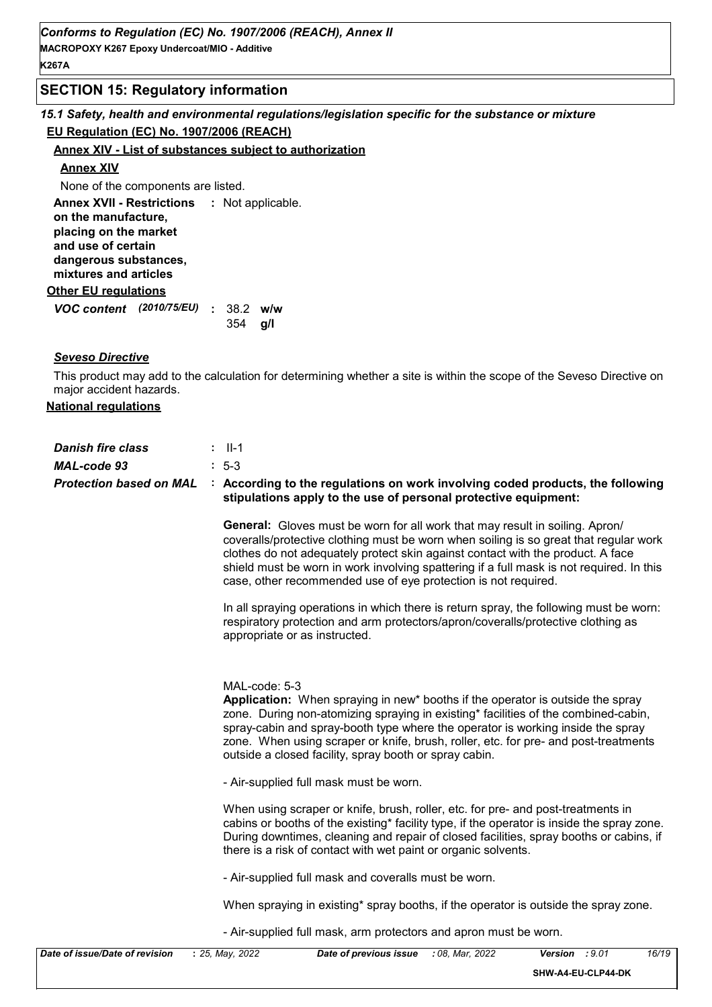# **SECTION 15: Regulatory information**

*15.1 Safety, health and environmental regulations/legislation specific for the substance or mixture* **EU Regulation (EC) No. 1907/2006 (REACH)**

#### **Annex XIV - List of substances subject to authorization**

#### **Annex XIV**

None of the components are listed.

**Other EU regulations Annex XVII - Restrictions :** Not applicable. **on the manufacture, placing on the market and use of certain dangerous substances, mixtures and articles**

*VOC content (2010/75/EU)* : 38.2 w/w **g/l** 354

#### *Seveso Directive*

This product may add to the calculation for determining whether a site is within the scope of the Seveso Directive on major accident hazards.

#### **National regulations**

| <b>Danish fire class</b><br><b>MAL-code 93</b><br><b>Protection based on MAL</b> | $:$ $  -1$<br>$: 5-3$<br>: According to the regulations on work involving coded products, the following<br>stipulations apply to the use of personal protective equipment:                                                                                                                                                                                                                                                    |
|----------------------------------------------------------------------------------|-------------------------------------------------------------------------------------------------------------------------------------------------------------------------------------------------------------------------------------------------------------------------------------------------------------------------------------------------------------------------------------------------------------------------------|
|                                                                                  | <b>General:</b> Gloves must be worn for all work that may result in soiling. Apron/<br>coveralls/protective clothing must be worn when soiling is so great that regular work<br>clothes do not adequately protect skin against contact with the product. A face<br>shield must be worn in work involving spattering if a full mask is not required. In this<br>case, other recommended use of eye protection is not required. |
|                                                                                  | In all spraying operations in which there is return spray, the following must be worn:<br>respiratory protection and arm protectors/apron/coveralls/protective clothing as<br>appropriate or as instructed.                                                                                                                                                                                                                   |
|                                                                                  | MAL-code: 5-3<br>Application: When spraying in new* booths if the operator is outside the spray<br>zone. During non-atomizing spraying in existing* facilities of the combined-cabin,<br>spray-cabin and spray-booth type where the operator is working inside the spray<br>zone. When using scraper or knife, brush, roller, etc. for pre- and post-treatments<br>outside a closed facility, spray booth or spray cabin.     |
|                                                                                  | - Air-supplied full mask must be worn.                                                                                                                                                                                                                                                                                                                                                                                        |
|                                                                                  | When using scraper or knife, brush, roller, etc. for pre- and post-treatments in<br>cabins or booths of the existing* facility type, if the operator is inside the spray zone.<br>During downtimes, cleaning and repair of closed facilities, spray booths or cabins, if<br>there is a risk of contact with wet paint or organic solvents.                                                                                    |
|                                                                                  | - Air-supplied full mask and coveralls must be worn.                                                                                                                                                                                                                                                                                                                                                                          |
|                                                                                  | When spraying in existing* spray booths, if the operator is outside the spray zone.                                                                                                                                                                                                                                                                                                                                           |
|                                                                                  | - Air-supplied full mask, arm protectors and apron must be worn.                                                                                                                                                                                                                                                                                                                                                              |
| Date of issue/Date of revision                                                   | : 25, May, 2022<br>: 08, Mar, 2022<br>16/19<br>Date of previous issue<br>Version : 9.01<br>SHW-A4-EU-CLP44-DK                                                                                                                                                                                                                                                                                                                 |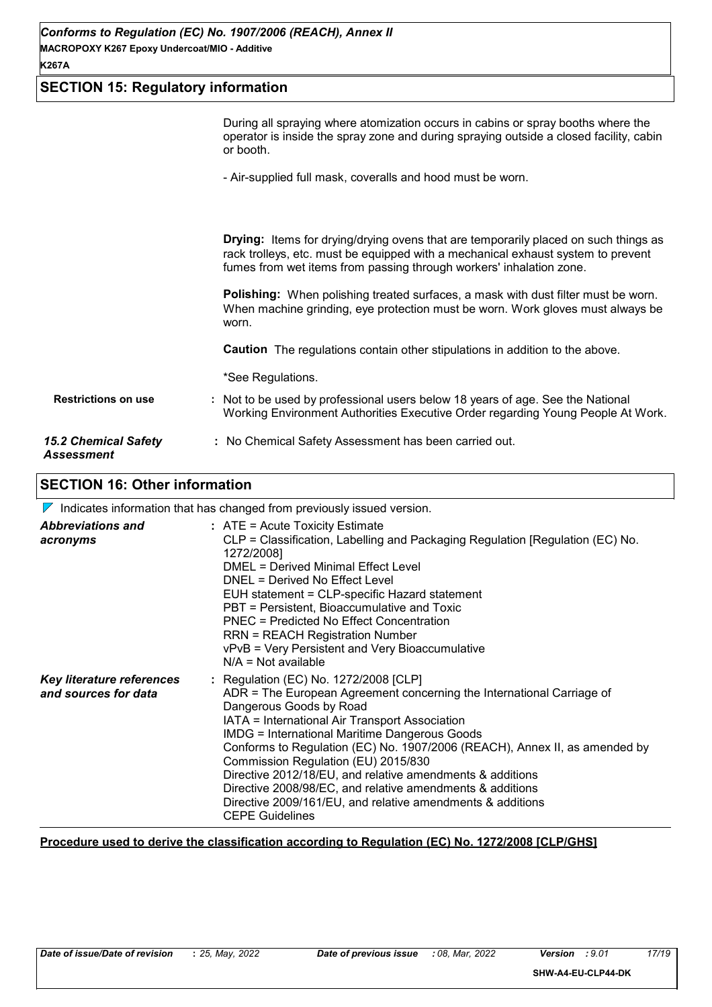# **SECTION 15: Regulatory information**

|                                                  | During all spraying where atomization occurs in cabins or spray booths where the<br>operator is inside the spray zone and during spraying outside a closed facility, cabin<br>or booth.                                                               |
|--------------------------------------------------|-------------------------------------------------------------------------------------------------------------------------------------------------------------------------------------------------------------------------------------------------------|
|                                                  | - Air-supplied full mask, coveralls and hood must be worn.                                                                                                                                                                                            |
|                                                  | <b>Drying:</b> Items for drying/drying ovens that are temporarily placed on such things as<br>rack trolleys, etc. must be equipped with a mechanical exhaust system to prevent<br>fumes from wet items from passing through workers' inhalation zone. |
|                                                  | <b>Polishing:</b> When polishing treated surfaces, a mask with dust filter must be worn.<br>When machine grinding, eye protection must be worn. Work gloves must always be<br>worn.                                                                   |
|                                                  | <b>Caution</b> The regulations contain other stipulations in addition to the above.                                                                                                                                                                   |
|                                                  | *See Regulations.                                                                                                                                                                                                                                     |
| <b>Restrictions on use</b>                       | : Not to be used by professional users below 18 years of age. See the National<br>Working Environment Authorities Executive Order regarding Young People At Work.                                                                                     |
| <b>15.2 Chemical Safety</b><br><b>Assessment</b> | : No Chemical Safety Assessment has been carried out.                                                                                                                                                                                                 |

# **SECTION 16: Other information**

 $\nabla$  Indicates information that has changed from previously issued version.

| <b>Abbreviations and</b><br>acronyms              | $:$ ATE = Acute Toxicity Estimate<br>CLP = Classification, Labelling and Packaging Regulation [Regulation (EC) No.<br>1272/2008]<br>DMEL = Derived Minimal Effect Level<br>DNEL = Derived No Effect Level<br>EUH statement = CLP-specific Hazard statement<br>PBT = Persistent, Bioaccumulative and Toxic<br>PNEC = Predicted No Effect Concentration<br><b>RRN = REACH Registration Number</b><br>vPvB = Very Persistent and Very Bioaccumulative<br>$N/A = Not available$                                                                                                                |
|---------------------------------------------------|--------------------------------------------------------------------------------------------------------------------------------------------------------------------------------------------------------------------------------------------------------------------------------------------------------------------------------------------------------------------------------------------------------------------------------------------------------------------------------------------------------------------------------------------------------------------------------------------|
| Key literature references<br>and sources for data | : Regulation (EC) No. 1272/2008 [CLP]<br>ADR = The European Agreement concerning the International Carriage of<br>Dangerous Goods by Road<br>IATA = International Air Transport Association<br><b>IMDG = International Maritime Dangerous Goods</b><br>Conforms to Regulation (EC) No. 1907/2006 (REACH), Annex II, as amended by<br>Commission Regulation (EU) 2015/830<br>Directive 2012/18/EU, and relative amendments & additions<br>Directive 2008/98/EC, and relative amendments & additions<br>Directive 2009/161/EU, and relative amendments & additions<br><b>CEPE Guidelines</b> |

#### **Procedure used to derive the classification according to Regulation (EC) No. 1272/2008 [CLP/GHS]**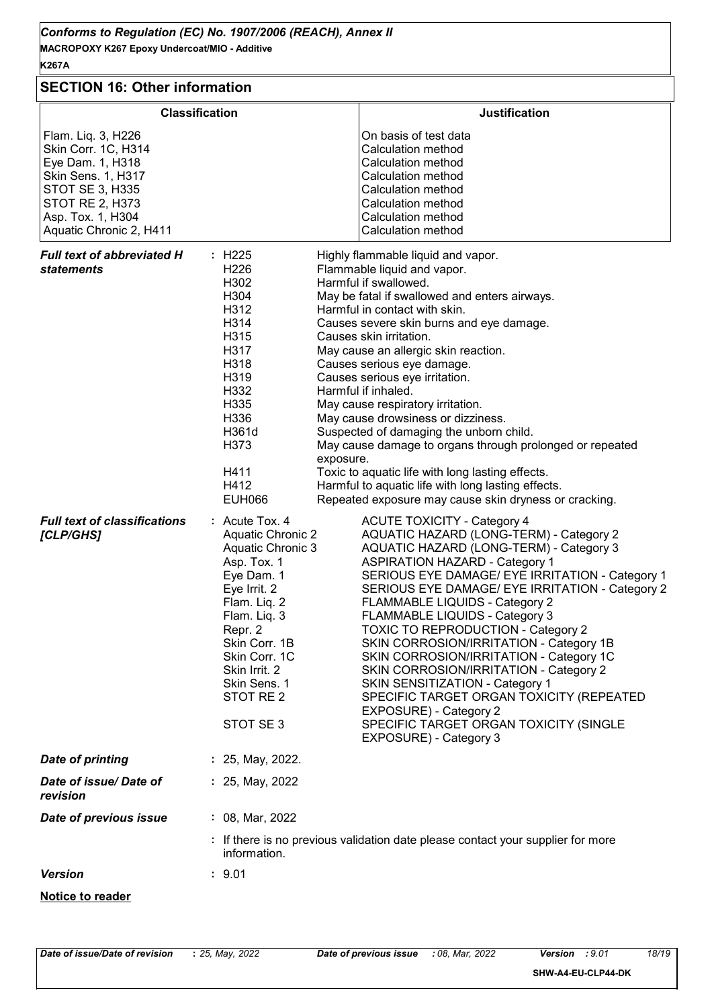| <b>SECTION 16: Other information</b>                                                                                                                                                    |                                                                                                                                                                                                                                                                                                                                                                                                                                                                                                                                                                                                                                                                                                                                                                                                                                                                                                                                                                       |
|-----------------------------------------------------------------------------------------------------------------------------------------------------------------------------------------|-----------------------------------------------------------------------------------------------------------------------------------------------------------------------------------------------------------------------------------------------------------------------------------------------------------------------------------------------------------------------------------------------------------------------------------------------------------------------------------------------------------------------------------------------------------------------------------------------------------------------------------------------------------------------------------------------------------------------------------------------------------------------------------------------------------------------------------------------------------------------------------------------------------------------------------------------------------------------|
|                                                                                                                                                                                         | <b>Classification</b><br><b>Justification</b>                                                                                                                                                                                                                                                                                                                                                                                                                                                                                                                                                                                                                                                                                                                                                                                                                                                                                                                         |
| Flam. Liq. 3, H226<br>Skin Corr. 1C, H314<br>Eye Dam. 1, H318<br>Skin Sens. 1, H317<br><b>STOT SE 3, H335</b><br><b>STOT RE 2, H373</b><br>Asp. Tox. 1, H304<br>Aquatic Chronic 2, H411 | On basis of test data<br>Calculation method<br>Calculation method<br>Calculation method<br>Calculation method<br>Calculation method<br>Calculation method<br>Calculation method                                                                                                                                                                                                                                                                                                                                                                                                                                                                                                                                                                                                                                                                                                                                                                                       |
| <b>Full text of abbreviated H</b><br><b>statements</b>                                                                                                                                  | : H225<br>Highly flammable liquid and vapor.<br>H <sub>226</sub><br>Flammable liquid and vapor.<br>H302<br>Harmful if swallowed.<br>H304<br>May be fatal if swallowed and enters airways.<br>H312<br>Harmful in contact with skin.<br>H314<br>Causes severe skin burns and eye damage.<br>H315<br>Causes skin irritation.<br>H317<br>May cause an allergic skin reaction.<br>H318<br>Causes serious eye damage.<br>H319<br>Causes serious eye irritation.<br>H332<br>Harmful if inhaled.<br>H335<br>May cause respiratory irritation.<br>H336<br>May cause drowsiness or dizziness.<br>H361d<br>Suspected of damaging the unborn child.<br>H373<br>May cause damage to organs through prolonged or repeated<br>exposure.<br>H411<br>Toxic to aquatic life with long lasting effects.<br>H412<br>Harmful to aquatic life with long lasting effects.<br><b>EUH066</b><br>Repeated exposure may cause skin dryness or cracking.                                          |
| <b>Full text of classifications</b><br>[CLP/GHS]                                                                                                                                        | $:$ Acute Tox. 4<br><b>ACUTE TOXICITY - Category 4</b><br><b>Aquatic Chronic 2</b><br>AQUATIC HAZARD (LONG-TERM) - Category 2<br>AQUATIC HAZARD (LONG-TERM) - Category 3<br>Aquatic Chronic 3<br><b>ASPIRATION HAZARD - Category 1</b><br>Asp. Tox. 1<br>Eye Dam. 1<br>SERIOUS EYE DAMAGE/ EYE IRRITATION - Category 1<br>Eye Irrit. 2<br>SERIOUS EYE DAMAGE/ EYE IRRITATION - Category 2<br>Flam. Liq. 2<br><b>FLAMMABLE LIQUIDS - Category 2</b><br>FLAMMABLE LIQUIDS - Category 3<br>Flam. Liq. 3<br><b>TOXIC TO REPRODUCTION - Category 2</b><br>Repr. 2<br>Skin Corr. 1B<br>SKIN CORROSION/IRRITATION - Category 1B<br>Skin Corr. 1C<br>SKIN CORROSION/IRRITATION - Category 1C<br>Skin Irrit. 2<br>SKIN CORROSION/IRRITATION - Category 2<br>Skin Sens. 1<br>SKIN SENSITIZATION - Category 1<br>STOT RE 2<br>SPECIFIC TARGET ORGAN TOXICITY (REPEATED<br>EXPOSURE) - Category 2<br>STOT SE3<br>SPECIFIC TARGET ORGAN TOXICITY (SINGLE<br>EXPOSURE) - Category 3 |
| <b>Date of printing</b>                                                                                                                                                                 | : 25, May, 2022.                                                                                                                                                                                                                                                                                                                                                                                                                                                                                                                                                                                                                                                                                                                                                                                                                                                                                                                                                      |
| Date of issue/Date of<br>revision                                                                                                                                                       | : 25, May, 2022                                                                                                                                                                                                                                                                                                                                                                                                                                                                                                                                                                                                                                                                                                                                                                                                                                                                                                                                                       |
| Date of previous issue                                                                                                                                                                  | : 08, Mar, 2022                                                                                                                                                                                                                                                                                                                                                                                                                                                                                                                                                                                                                                                                                                                                                                                                                                                                                                                                                       |
|                                                                                                                                                                                         | : If there is no previous validation date please contact your supplier for more<br>information.                                                                                                                                                                                                                                                                                                                                                                                                                                                                                                                                                                                                                                                                                                                                                                                                                                                                       |
| <b>Version</b>                                                                                                                                                                          | : 9.01                                                                                                                                                                                                                                                                                                                                                                                                                                                                                                                                                                                                                                                                                                                                                                                                                                                                                                                                                                |
| <b>Notice to reader</b>                                                                                                                                                                 |                                                                                                                                                                                                                                                                                                                                                                                                                                                                                                                                                                                                                                                                                                                                                                                                                                                                                                                                                                       |